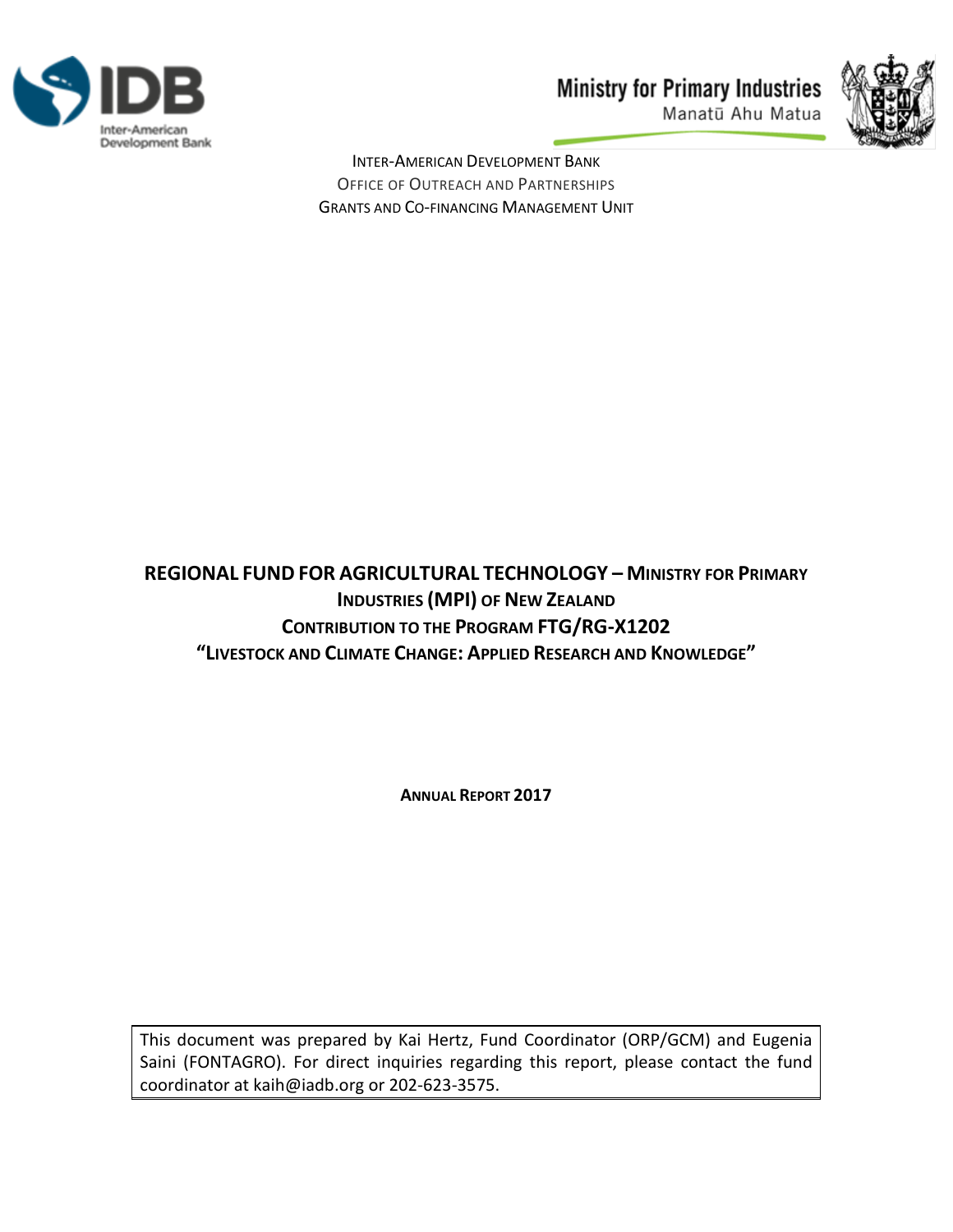



INTER-AMERICAN DEVELOPMENT BANK OFFICE OF OUTREACH AND PARTNERSHIPS GRANTS AND CO-FINANCING MANAGEMENT UNIT

# **REGIONAL FUND FOR AGRICULTURAL TECHNOLOGY – MINISTRY FOR PRIMARY INDUSTRIES (MPI) OF NEW ZEALAND CONTRIBUTION TO THE PROGRAM FTG/RG-X1202 "LIVESTOCK AND CLIMATE CHANGE: APPLIED RESEARCH AND KNOWLEDGE"**

**ANNUAL REPORT 2017**

This document was prepared by Kai Hertz, Fund Coordinator (ORP/GCM) and Eugenia Saini (FONTAGRO). For direct inquiries regarding this report, please contact the fund coordinator at kaih@iadb.org or 202-623-3575.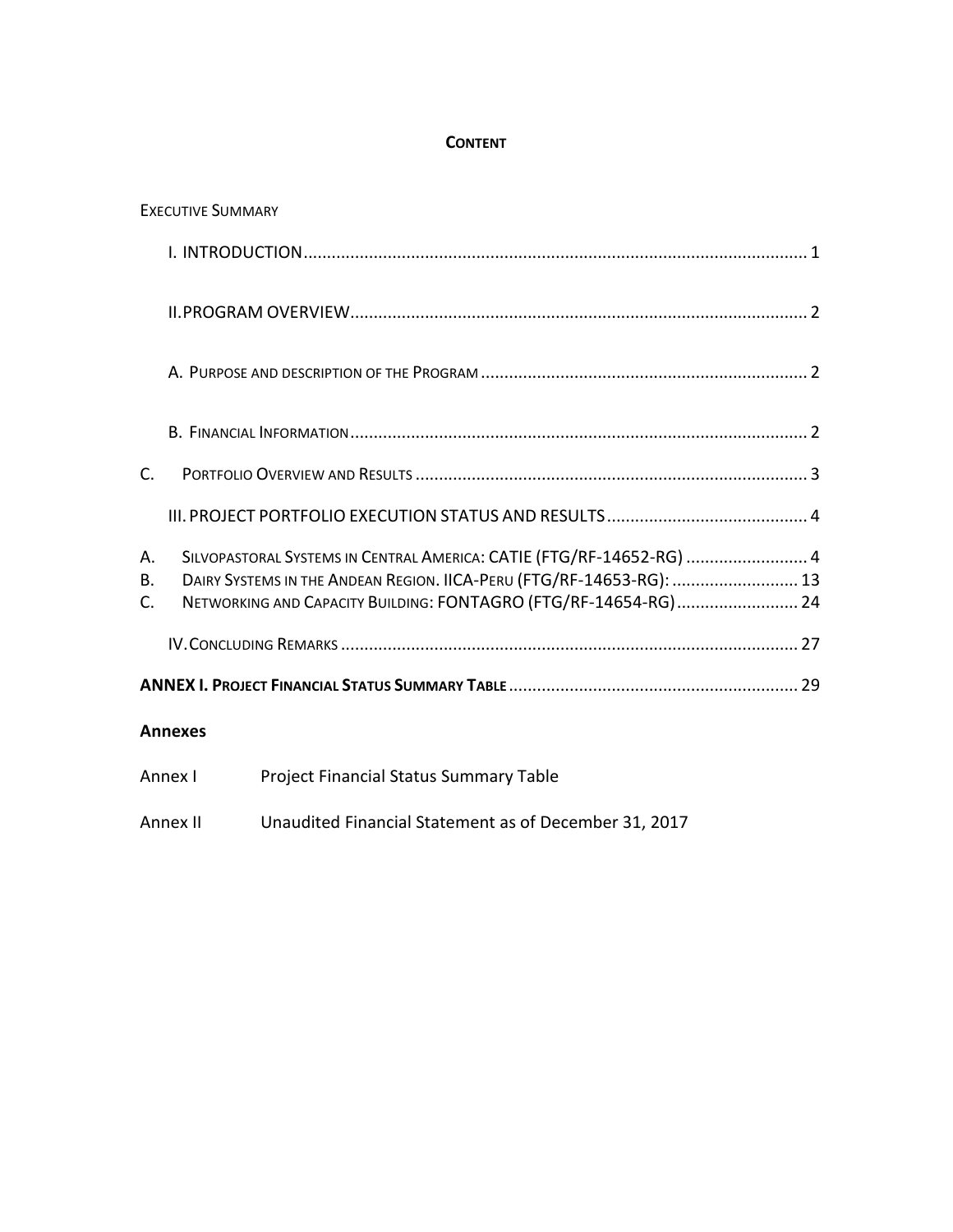### **CONTENT**

|                | <b>EXECUTIVE SUMMARY</b>                                             |  |  |  |  |
|----------------|----------------------------------------------------------------------|--|--|--|--|
|                |                                                                      |  |  |  |  |
|                |                                                                      |  |  |  |  |
|                |                                                                      |  |  |  |  |
|                |                                                                      |  |  |  |  |
| $\mathsf{C}$ . |                                                                      |  |  |  |  |
|                |                                                                      |  |  |  |  |
| Α.             | SILVOPASTORAL SYSTEMS IN CENTRAL AMERICA: CATIE (FTG/RF-14652-RG)  4 |  |  |  |  |
| <b>B.</b>      | DAIRY SYSTEMS IN THE ANDEAN REGION. IICA-PERU (FTG/RF-14653-RG):  13 |  |  |  |  |
| $C_{\cdot}$    | NETWORKING AND CAPACITY BUILDING: FONTAGRO (FTG/RF-14654-RG) 24      |  |  |  |  |
|                |                                                                      |  |  |  |  |
|                |                                                                      |  |  |  |  |
|                | <b>Annexes</b>                                                       |  |  |  |  |
|                | <b>Project Financial Status Summary Table</b><br>Annex I             |  |  |  |  |

Annex II Unaudited Financial Statement as of December 31, 2017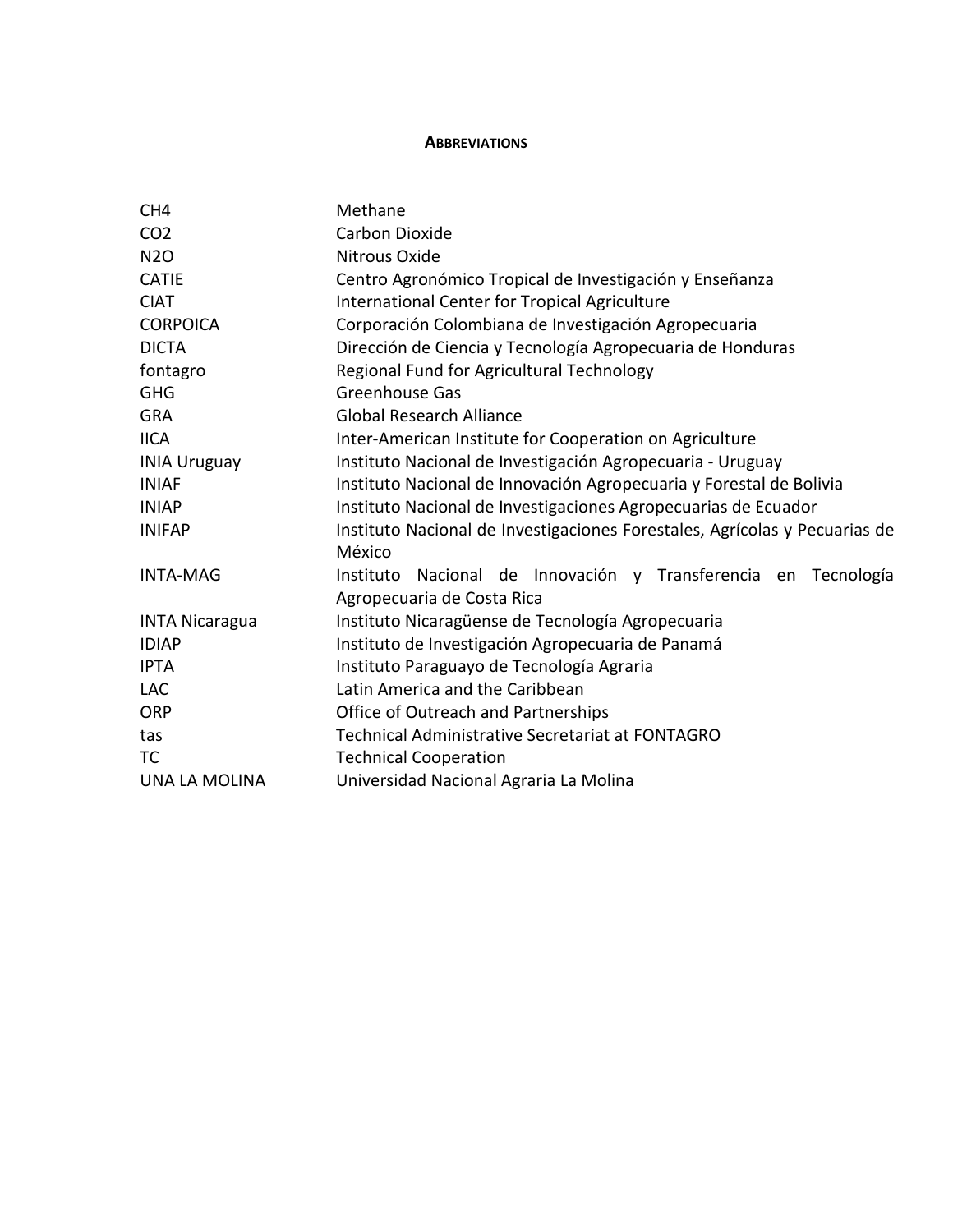#### **ABBREVIATIONS**

| CH <sub>4</sub>       | Methane                                                                    |  |  |  |
|-----------------------|----------------------------------------------------------------------------|--|--|--|
| CO <sub>2</sub>       | Carbon Dioxide                                                             |  |  |  |
| <b>N2O</b>            | Nitrous Oxide                                                              |  |  |  |
| <b>CATIE</b>          | Centro Agronómico Tropical de Investigación y Enseñanza                    |  |  |  |
| <b>CIAT</b>           | International Center for Tropical Agriculture                              |  |  |  |
| <b>CORPOICA</b>       | Corporación Colombiana de Investigación Agropecuaria                       |  |  |  |
| <b>DICTA</b>          | Dirección de Ciencia y Tecnología Agropecuaria de Honduras                 |  |  |  |
| fontagro              | Regional Fund for Agricultural Technology                                  |  |  |  |
| <b>GHG</b>            | Greenhouse Gas                                                             |  |  |  |
| <b>GRA</b>            | <b>Global Research Alliance</b>                                            |  |  |  |
| <b>IICA</b>           | Inter-American Institute for Cooperation on Agriculture                    |  |  |  |
| <b>INIA Uruguay</b>   | Instituto Nacional de Investigación Agropecuaria - Uruguay                 |  |  |  |
| <b>INIAF</b>          | Instituto Nacional de Innovación Agropecuaria y Forestal de Bolivia        |  |  |  |
| <b>INIAP</b>          | Instituto Nacional de Investigaciones Agropecuarias de Ecuador             |  |  |  |
| <b>INIFAP</b>         | Instituto Nacional de Investigaciones Forestales, Agrícolas y Pecuarias de |  |  |  |
|                       | México                                                                     |  |  |  |
| <b>INTA-MAG</b>       | Nacional de Innovación y Transferencia en Tecnología<br>Instituto          |  |  |  |
|                       | Agropecuaria de Costa Rica                                                 |  |  |  |
| <b>INTA Nicaragua</b> | Instituto Nicaragüense de Tecnología Agropecuaria                          |  |  |  |
| <b>IDIAP</b>          | Instituto de Investigación Agropecuaria de Panamá                          |  |  |  |
| <b>IPTA</b>           | Instituto Paraguayo de Tecnología Agraria                                  |  |  |  |
| <b>LAC</b>            | Latin America and the Caribbean                                            |  |  |  |
| <b>ORP</b>            | Office of Outreach and Partnerships                                        |  |  |  |
| tas                   | <b>Technical Administrative Secretariat at FONTAGRO</b>                    |  |  |  |
| <b>TC</b>             | <b>Technical Cooperation</b>                                               |  |  |  |
| UNA LA MOLINA         | Universidad Nacional Agraria La Molina                                     |  |  |  |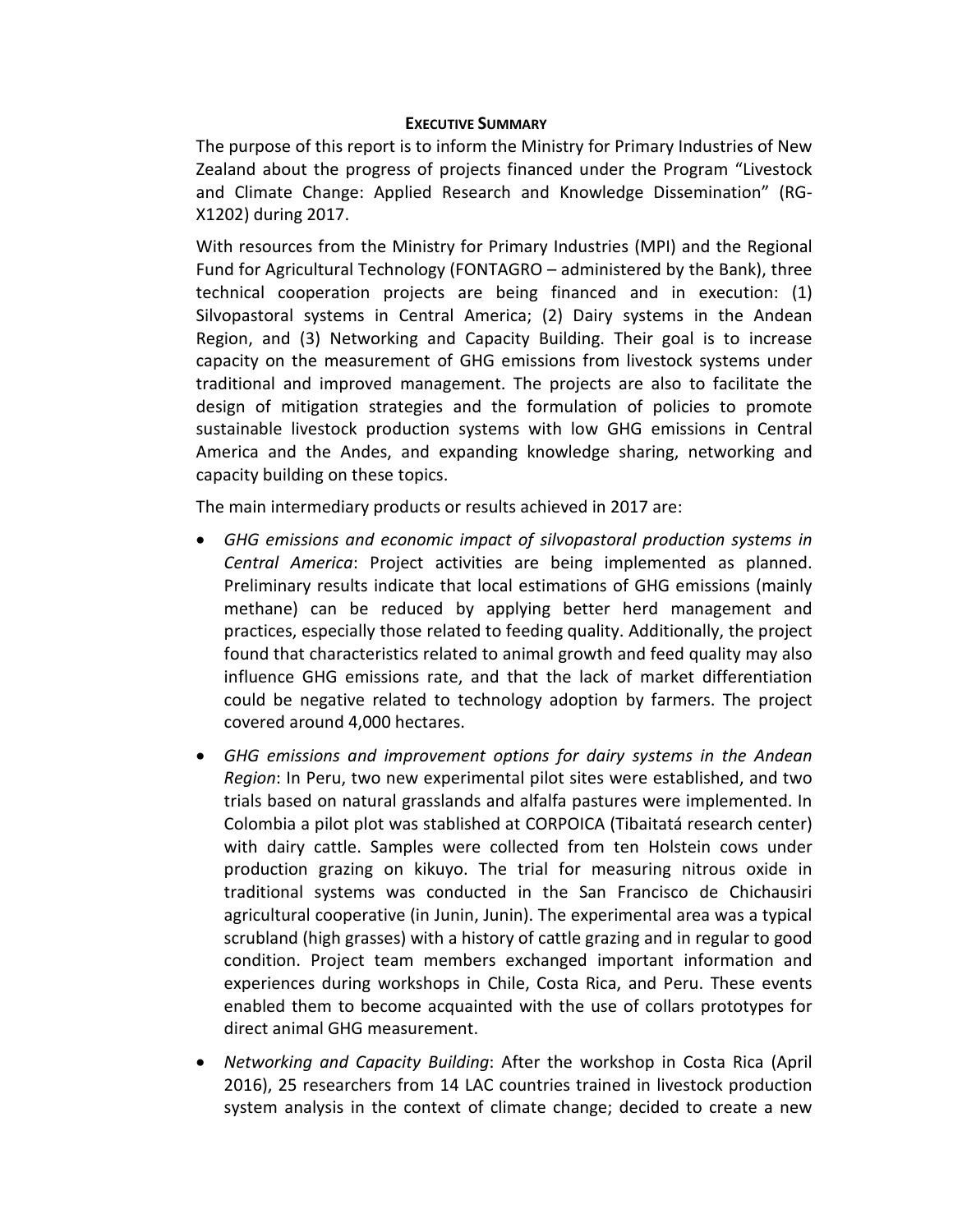#### **EXECUTIVE SUMMARY**

The purpose of this report is to inform the Ministry for Primary Industries of New Zealand about the progress of projects financed under the Program "Livestock and Climate Change: Applied Research and Knowledge Dissemination" (RG-X1202) during 2017.

With resources from the Ministry for Primary Industries (MPI) and the Regional Fund for Agricultural Technology (FONTAGRO – administered by the Bank), three technical cooperation projects are being financed and in execution: (1) Silvopastoral systems in Central America; (2) Dairy systems in the Andean Region, and (3) Networking and Capacity Building. Their goal is to increase capacity on the measurement of GHG emissions from livestock systems under traditional and improved management. The projects are also to facilitate the design of mitigation strategies and the formulation of policies to promote sustainable livestock production systems with low GHG emissions in Central America and the Andes, and expanding knowledge sharing, networking and capacity building on these topics.

The main intermediary products or results achieved in 2017 are:

- *GHG emissions and economic impact of silvopastoral production systems in Central America*: Project activities are being implemented as planned. Preliminary results indicate that local estimations of GHG emissions (mainly methane) can be reduced by applying better herd management and practices, especially those related to feeding quality. Additionally, the project found that characteristics related to animal growth and feed quality may also influence GHG emissions rate, and that the lack of market differentiation could be negative related to technology adoption by farmers. The project covered around 4,000 hectares.
- *GHG emissions and improvement options for dairy systems in the Andean Region*: In Peru, two new experimental pilot sites were established, and two trials based on natural grasslands and alfalfa pastures were implemented. In Colombia a pilot plot was stablished at CORPOICA (Tibaitatá research center) with dairy cattle. Samples were collected from ten Holstein cows under production grazing on kikuyo. The trial for measuring nitrous oxide in traditional systems was conducted in the San Francisco de Chichausiri agricultural cooperative (in Junin, Junin). The experimental area was a typical scrubland (high grasses) with a history of cattle grazing and in regular to good condition. Project team members exchanged important information and experiences during workshops in Chile, Costa Rica, and Peru. These events enabled them to become acquainted with the use of collars prototypes for direct animal GHG measurement.
- *Networking and Capacity Building*: After the workshop in Costa Rica (April 2016), 25 researchers from 14 LAC countries trained in livestock production system analysis in the context of climate change; decided to create a new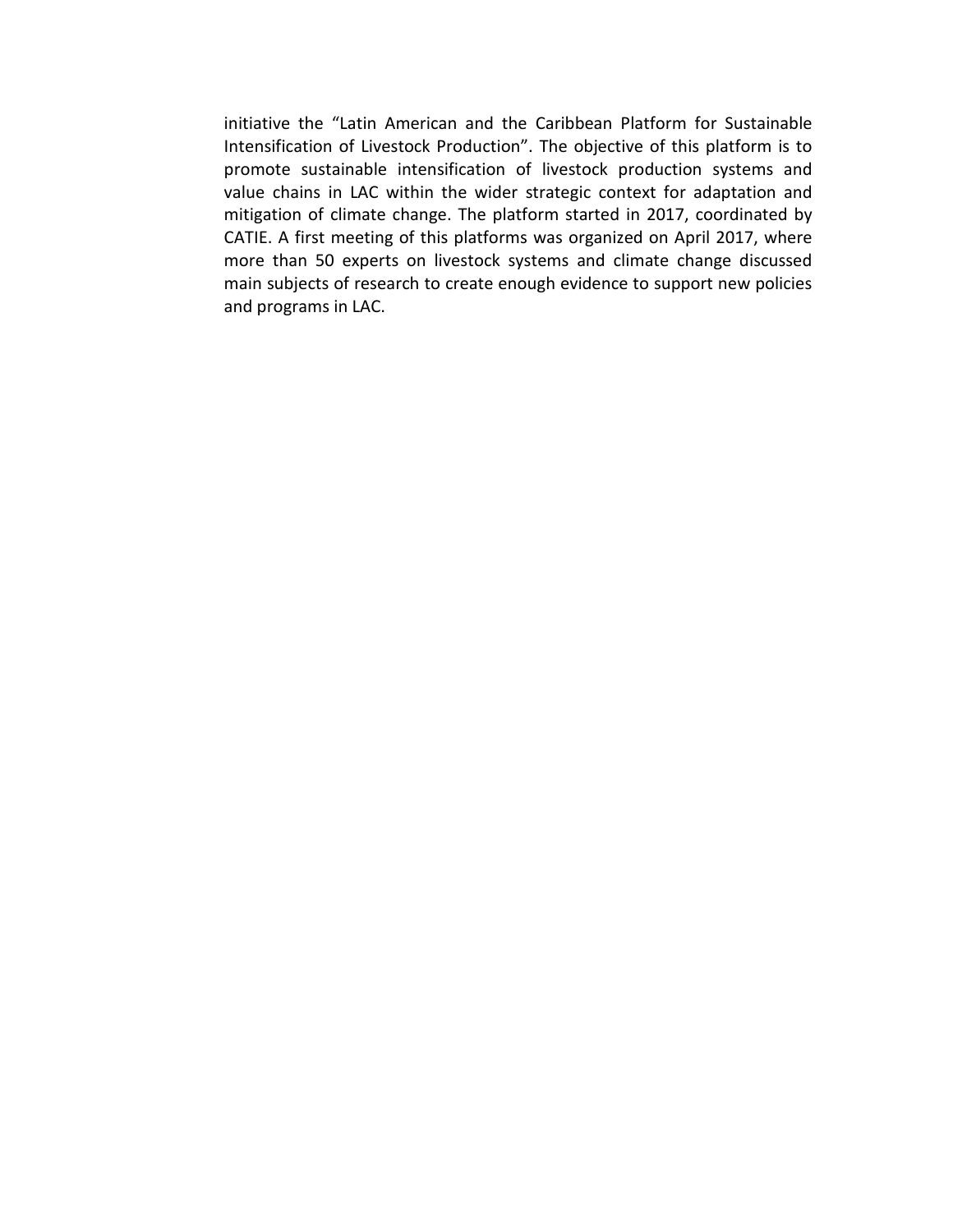initiative the "Latin American and the Caribbean Platform for Sustainable Intensification of Livestock Production". The objective of this platform is to promote sustainable intensification of livestock production systems and value chains in LAC within the wider strategic context for adaptation and mitigation of climate change. The platform started in 2017, coordinated by CATIE. A first meeting of this platforms was organized on April 2017, where more than 50 experts on livestock systems and climate change discussed main subjects of research to create enough evidence to support new policies and programs in LAC.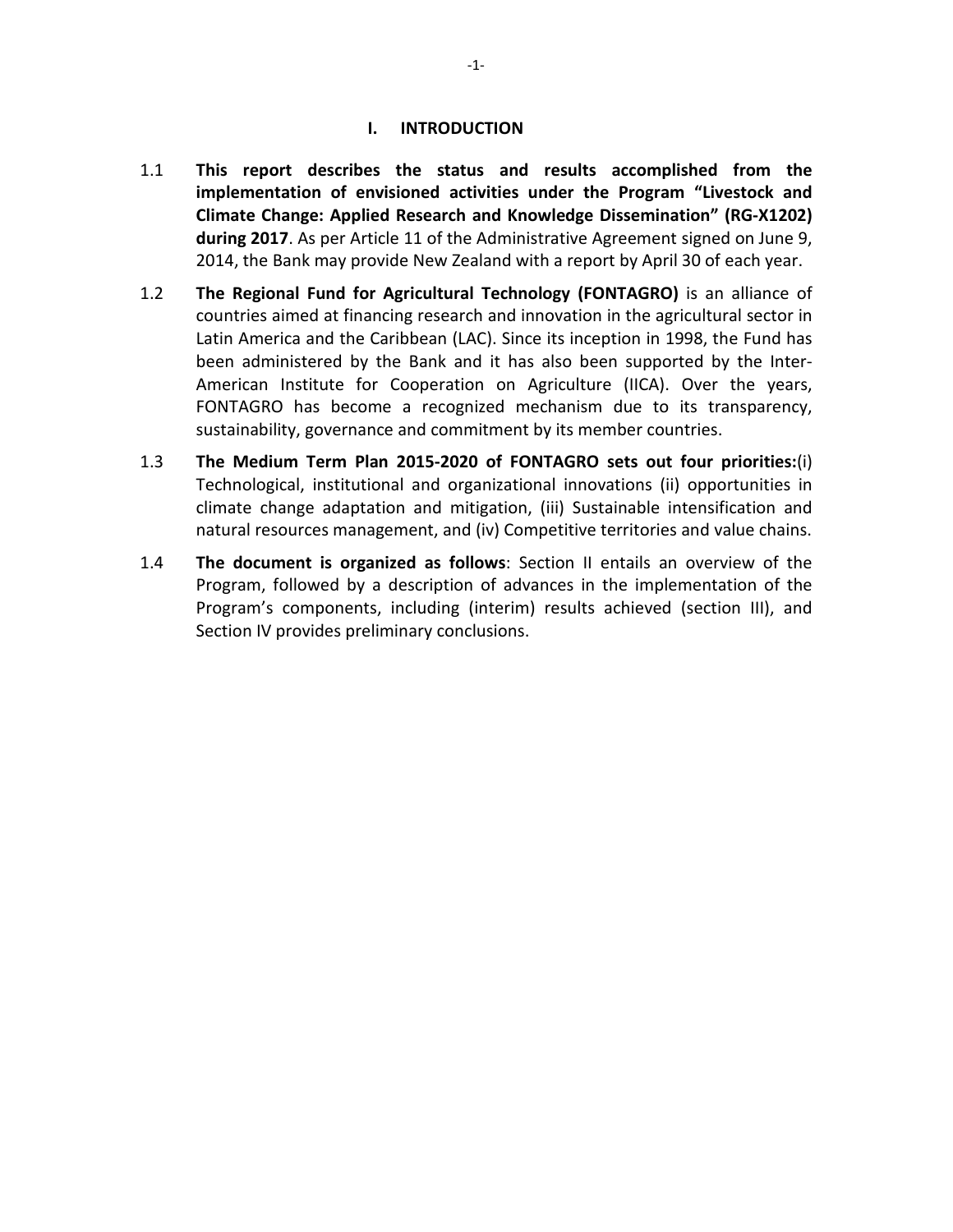#### **I. INTRODUCTION**

- <span id="page-6-0"></span>1.1 **This report describes the status and results accomplished from the implementation of envisioned activities under the Program "Livestock and Climate Change: Applied Research and Knowledge Dissemination" (RG-X1202) during 2017**. As per Article 11 of the Administrative Agreement signed on June 9, 2014, the Bank may provide New Zealand with a report by April 30 of each year.
- 1.2 **The Regional Fund for Agricultural Technology (FONTAGRO)** is an alliance of countries aimed at financing research and innovation in the agricultural sector in Latin America and the Caribbean (LAC). Since its inception in 1998, the Fund has been administered by the Bank and it has also been supported by the Inter-American Institute for Cooperation on Agriculture (IICA). Over the years, FONTAGRO has become a recognized mechanism due to its transparency, sustainability, governance and commitment by its member countries.
- 1.3 **The Medium Term Plan 2015-2020 of FONTAGRO sets out four priorities:**(i) Technological, institutional and organizational innovations (ii) opportunities in climate change adaptation and mitigation, (iii) Sustainable intensification and natural resources management, and (iv) Competitive territories and value chains.
- 1.4 **The document is organized as follows**: Section II entails an overview of the Program, followed by a description of advances in the implementation of the Program's components, including (interim) results achieved (section III), and Section IV provides preliminary conclusions.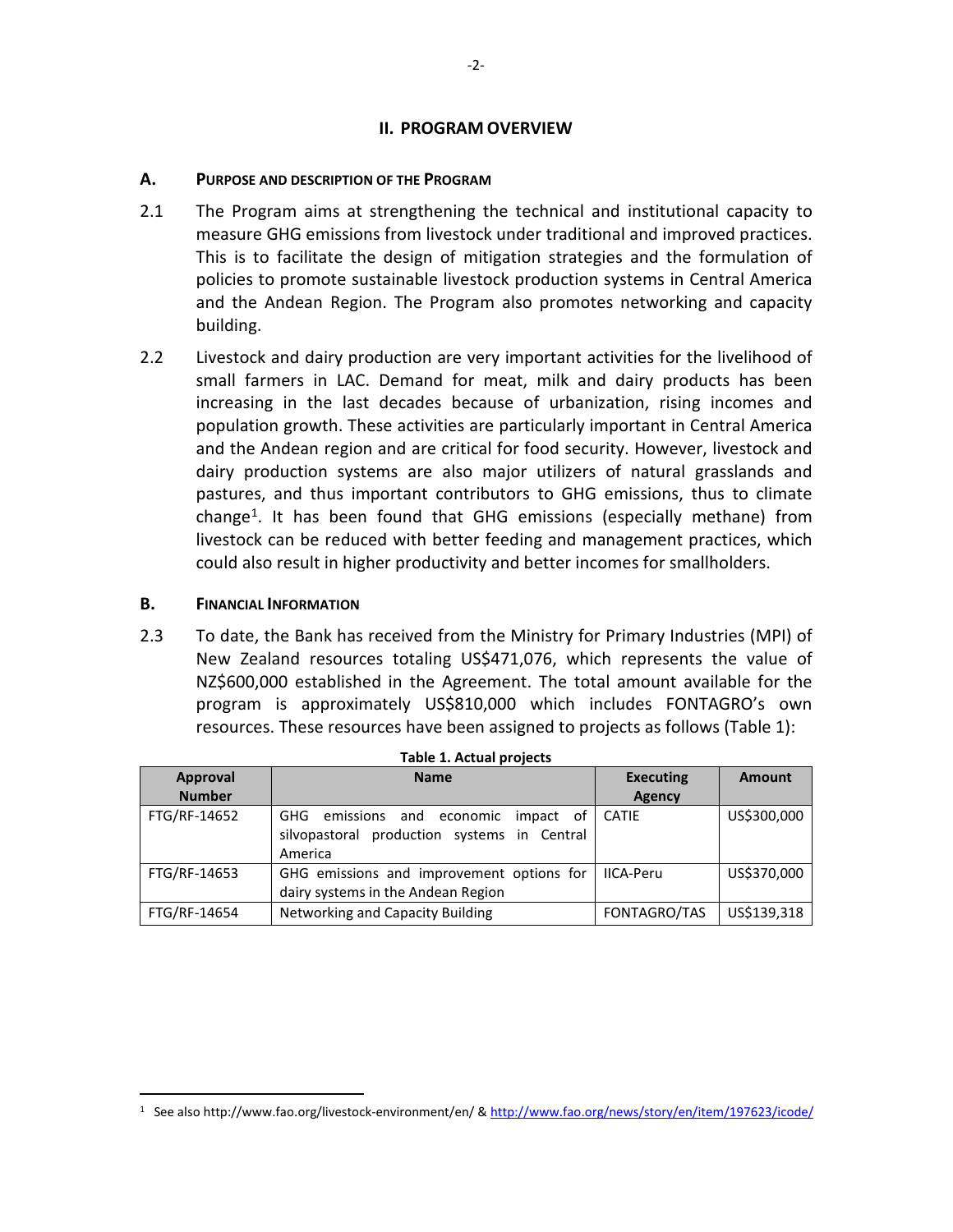#### **II. PROGRAM OVERVIEW**

#### <span id="page-7-1"></span><span id="page-7-0"></span>**A. PURPOSE AND DESCRIPTION OF THE PROGRAM**

- 2.1 The Program aims at strengthening the technical and institutional capacity to measure GHG emissions from livestock under traditional and improved practices. This is to facilitate the design of mitigation strategies and the formulation of policies to promote sustainable livestock production systems in Central America and the Andean Region. The Program also promotes networking and capacity building.
- 2.2 Livestock and dairy production are very important activities for the livelihood of small farmers in LAC. Demand for meat, milk and dairy products has been increasing in the last decades because of urbanization, rising incomes and population growth. These activities are particularly important in Central America and the Andean region and are critical for food security. However, livestock and dairy production systems are also major utilizers of natural grasslands and pastures, and thus important contributors to GHG emissions, thus to climate change<sup>1</sup>. It has been found that GHG emissions (especially methane) from livestock can be reduced with better feeding and management practices, which could also result in higher productivity and better incomes for smallholders.

#### <span id="page-7-2"></span>**B. FINANCIAL INFORMATION**

2.3 To date, the Bank has received from the Ministry for Primary Industries (MPI) of New Zealand resources totaling US\$471,076, which represents the value of NZ\$600,000 established in the Agreement. The total amount available for the program is approximately US\$810,000 which includes FONTAGRO's own resources. These resources have been assigned to projects as follows (Table 1):

| Approval<br><b>Number</b> | <b>Name</b>                                                                                              | <b>Executing</b><br>Agency | <b>Amount</b> |
|---------------------------|----------------------------------------------------------------------------------------------------------|----------------------------|---------------|
| FTG/RF-14652              | emissions and<br>economic<br>GHG.<br>impact of<br>silvopastoral production systems in Central<br>America | <b>CATIE</b>               | US\$300,000   |
| FTG/RF-14653              | GHG emissions and improvement options for<br>dairy systems in the Andean Region                          | <b>IICA-Peru</b>           | US\$370,000   |
| FTG/RF-14654              | Networking and Capacity Building                                                                         | FONTAGRO/TAS               | US\$139,318   |

<span id="page-7-3"></span><sup>&</sup>lt;sup>1</sup> See also<http://www.fao.org/livestock-environment/en/> [& http://www.fao.org/news/story/en/item/197623/icode/](http://www.fao.org/news/story/en/item/197623/icode/)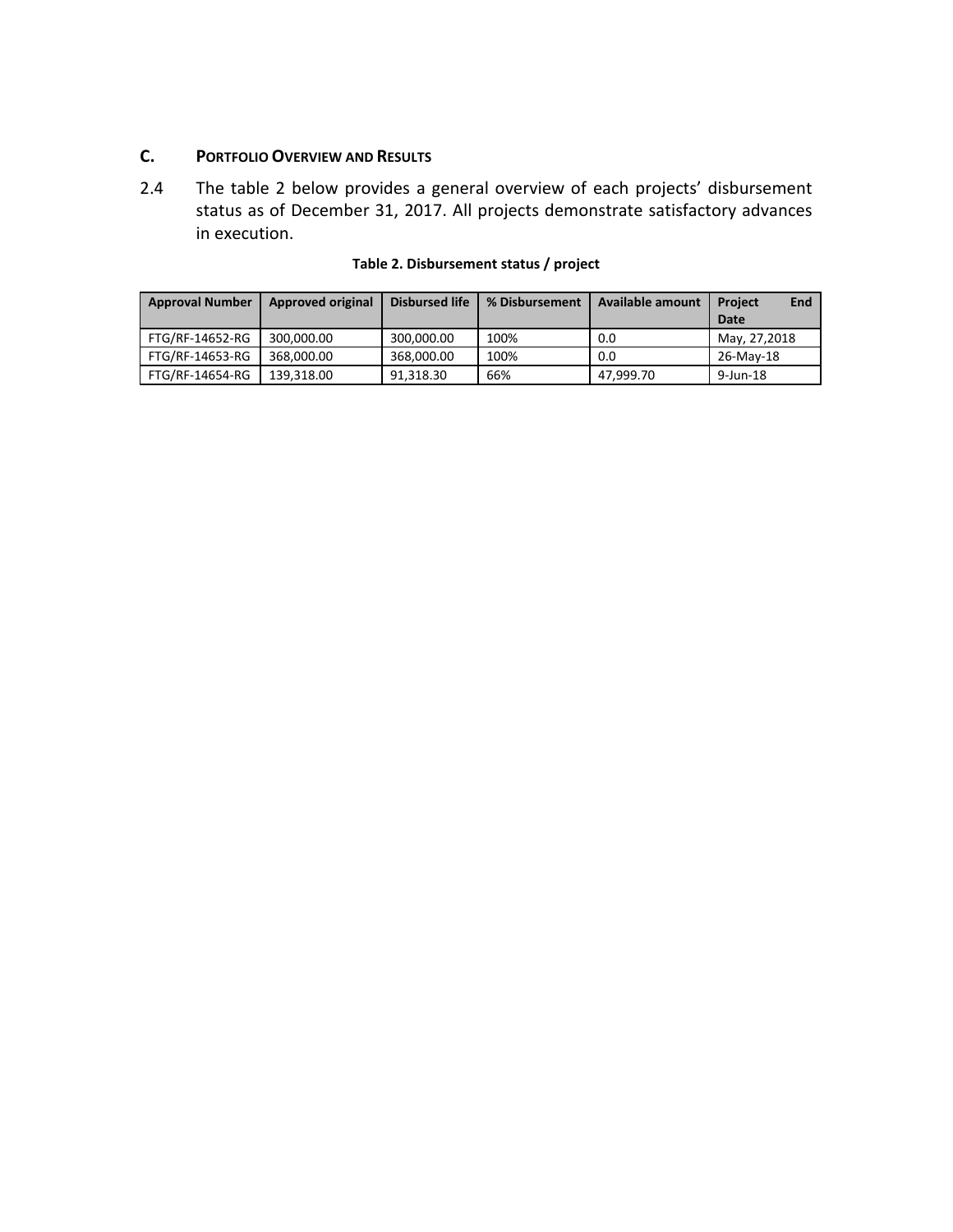## <span id="page-8-0"></span>**C. PORTFOLIO OVERVIEW AND RESULTS**

2.4 The table 2 below provides a general overview of each projects' disbursement status as of December 31, 2017. All projects demonstrate satisfactory advances in execution.

| <b>Approval Number</b> | <b>Approved original</b> | <b>Disbursed life</b> | % Disbursement | Available amount | End<br><b>Project</b><br>Date |
|------------------------|--------------------------|-----------------------|----------------|------------------|-------------------------------|
| FTG/RF-14652-RG        | 300.000.00               | 300.000.00            | 100%           | 0.0              | May, 27,2018                  |
| FTG/RF-14653-RG        | 368,000.00               | 368,000.00            | 100%           | 0.0              | 26-May-18                     |
| FTG/RF-14654-RG        | 139.318.00               | 91.318.30             | 66%            | 47.999.70        | 9-Jun-18                      |

#### **Table 2. Disbursement status / project**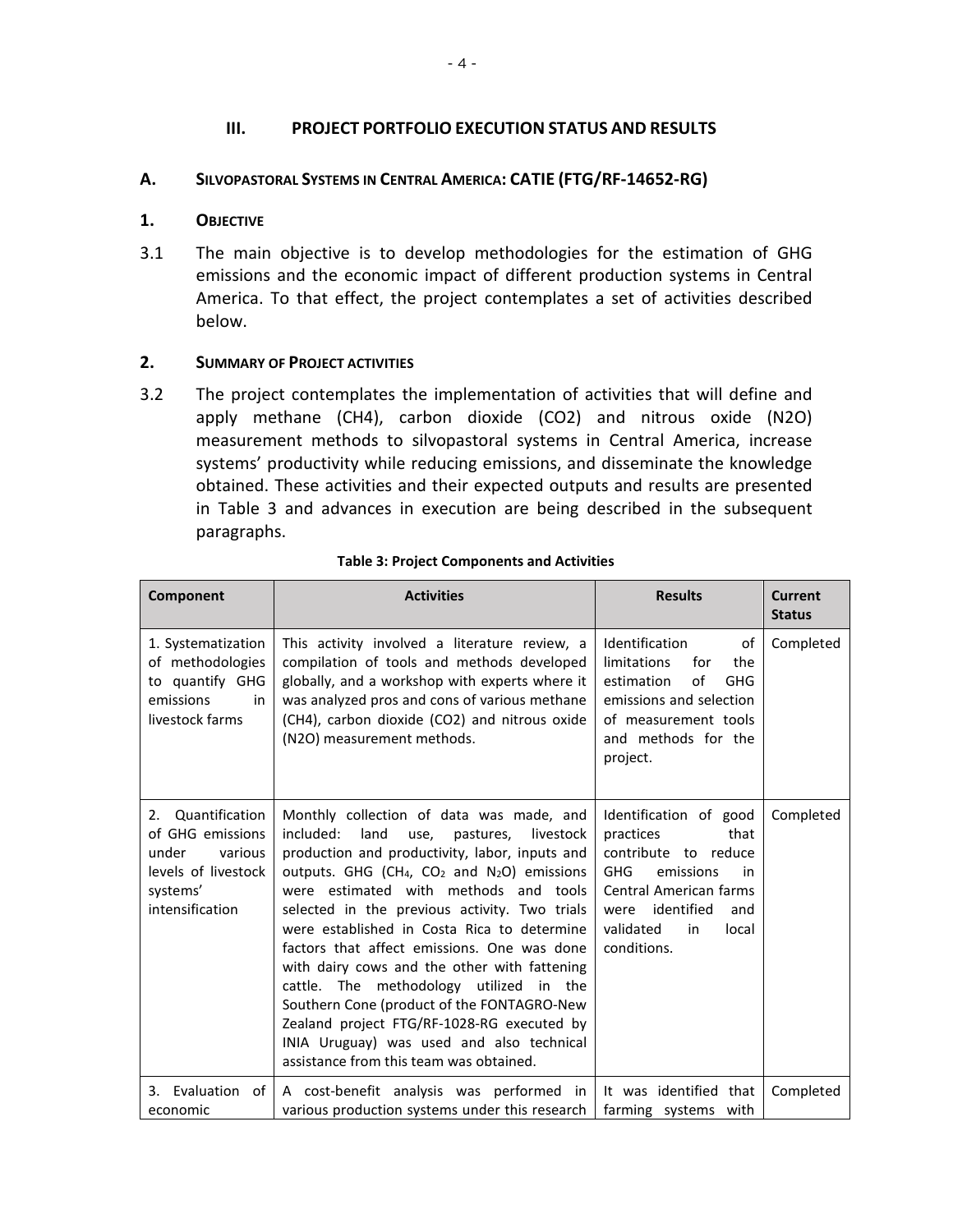### **III. PROJECT PORTFOLIO EXECUTION STATUS AND RESULTS**

#### <span id="page-9-1"></span><span id="page-9-0"></span>**A. SILVOPASTORAL SYSTEMS IN CENTRAL AMERICA: CATIE (FTG/RF-14652-RG)**

#### **1. OBJECTIVE**

3.1 The main objective is to develop methodologies for the estimation of GHG emissions and the economic impact of different production systems in Central America. To that effect, the project contemplates a set of activities described below.

#### **2. SUMMARY OF PROJECT ACTIVITIES**

3.2 The project contemplates the implementation of activities that will define and apply methane (CH4), carbon dioxide (CO2) and nitrous oxide (N2O) measurement methods to silvopastoral systems in Central America, increase systems' productivity while reducing emissions, and disseminate the knowledge obtained. These activities and their expected outputs and results are presented in Table 3 and advances in execution are being described in the subsequent paragraphs.

| Component                                                                                                       | <b>Activities</b>                                                                                                                                                                                                                                                                                                                                                                                                                                                                                                                                                                                                                                                                                           | <b>Results</b>                                                                                                                                                                                         | <b>Current</b><br><b>Status</b> |
|-----------------------------------------------------------------------------------------------------------------|-------------------------------------------------------------------------------------------------------------------------------------------------------------------------------------------------------------------------------------------------------------------------------------------------------------------------------------------------------------------------------------------------------------------------------------------------------------------------------------------------------------------------------------------------------------------------------------------------------------------------------------------------------------------------------------------------------------|--------------------------------------------------------------------------------------------------------------------------------------------------------------------------------------------------------|---------------------------------|
| 1. Systematization<br>of methodologies<br>to quantify GHG<br>emissions<br>in<br>livestock farms                 | This activity involved a literature review, a<br>compilation of tools and methods developed<br>globally, and a workshop with experts where it<br>was analyzed pros and cons of various methane<br>(CH4), carbon dioxide (CO2) and nitrous oxide<br>(N2O) measurement methods.                                                                                                                                                                                                                                                                                                                                                                                                                               | Identification<br>of<br>the<br>limitations<br>for<br>estimation<br>of<br><b>GHG</b><br>emissions and selection<br>of measurement tools<br>and methods for the<br>project.                              | Completed                       |
| 2. Quantification<br>of GHG emissions<br>under<br>various<br>levels of livestock<br>systems'<br>intensification | Monthly collection of data was made, and<br>included:<br>land<br>livestock<br>use,<br>pastures,<br>production and productivity, labor, inputs and<br>outputs. GHG (CH <sub>4</sub> , CO <sub>2</sub> and N <sub>2</sub> O) emissions<br>were estimated with methods and tools<br>selected in the previous activity. Two trials<br>were established in Costa Rica to determine<br>factors that affect emissions. One was done<br>with dairy cows and the other with fattening<br>cattle. The methodology utilized in the<br>Southern Cone (product of the FONTAGRO-New<br>Zealand project FTG/RF-1028-RG executed by<br>INIA Uruguay) was used and also technical<br>assistance from this team was obtained. | Identification of good<br>that<br>practices<br>contribute to reduce<br><b>GHG</b><br>emissions<br>in<br>Central American farms<br>identified<br>were<br>and<br>validated<br>in<br>local<br>conditions. | Completed                       |
| 3. Evaluation of<br>economic                                                                                    | A cost-benefit analysis was performed in<br>various production systems under this research                                                                                                                                                                                                                                                                                                                                                                                                                                                                                                                                                                                                                  | It was identified that<br>farming systems with                                                                                                                                                         | Completed                       |

#### **Table 3: Project Components and Activities**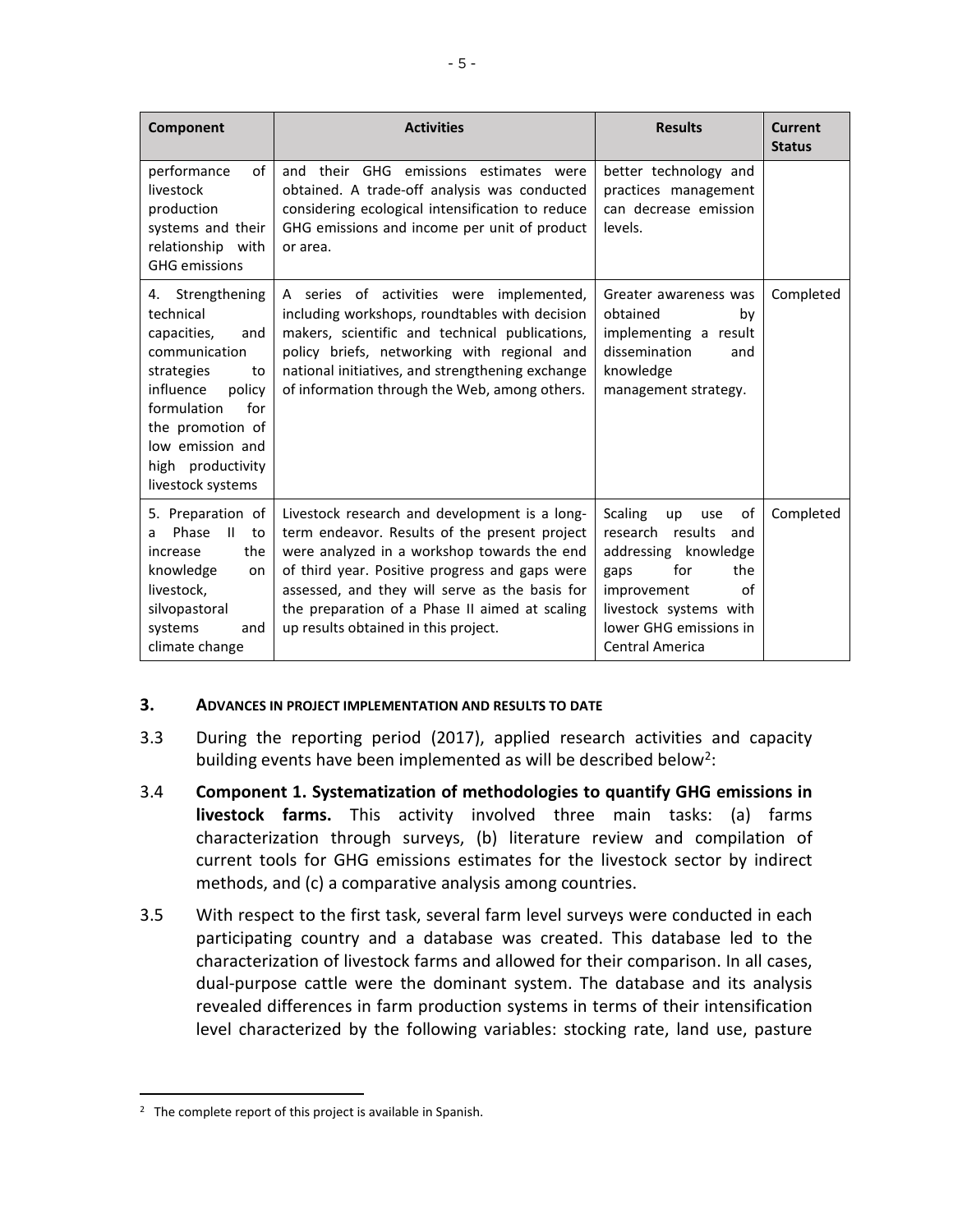| Component                                                                                                                                                                                                                  | <b>Activities</b>                                                                                                                                                                                                                                                                                                                           | <b>Results</b>                                                                                                                                                                                         | <b>Current</b><br><b>Status</b> |
|----------------------------------------------------------------------------------------------------------------------------------------------------------------------------------------------------------------------------|---------------------------------------------------------------------------------------------------------------------------------------------------------------------------------------------------------------------------------------------------------------------------------------------------------------------------------------------|--------------------------------------------------------------------------------------------------------------------------------------------------------------------------------------------------------|---------------------------------|
| of<br>performance<br>livestock<br>production<br>systems and their<br>relationship with<br><b>GHG</b> emissions                                                                                                             | and their GHG emissions estimates were<br>obtained. A trade-off analysis was conducted<br>considering ecological intensification to reduce<br>GHG emissions and income per unit of product<br>or area.                                                                                                                                      | better technology and<br>practices management<br>can decrease emission<br>levels.                                                                                                                      |                                 |
| Strengthening<br>4.<br>technical<br>capacities,<br>and<br>communication<br>strategies<br>to<br>influence<br>policy<br>formulation<br>for<br>the promotion of<br>low emission and<br>high productivity<br>livestock systems | A series of activities were implemented,<br>including workshops, roundtables with decision<br>makers, scientific and technical publications,<br>policy briefs, networking with regional and<br>national initiatives, and strengthening exchange<br>of information through the Web, among others.                                            | Greater awareness was<br>obtained<br>by<br>implementing a result<br>dissemination<br>and<br>knowledge<br>management strategy.                                                                          | Completed                       |
| 5. Preparation of<br>Phase<br>$\mathbf{I}$<br>to<br>a<br>the<br>increase<br>knowledge<br>on<br>livestock,<br>silvopastoral<br>systems<br>and<br>climate change                                                             | Livestock research and development is a long-<br>term endeavor. Results of the present project<br>were analyzed in a workshop towards the end<br>of third year. Positive progress and gaps were<br>assessed, and they will serve as the basis for<br>the preparation of a Phase II aimed at scaling<br>up results obtained in this project. | <b>Scaling</b><br>οf<br>up<br>use<br>research results<br>and<br>addressing knowledge<br>for<br>the<br>gaps<br>improvement<br>of<br>livestock systems with<br>lower GHG emissions in<br>Central America | Completed                       |

### **3. ADVANCES IN PROJECT IMPLEMENTATION AND RESULTS TO DATE**

- 3.3 During the reporting period (2017), applied research activities and capacity building events have been implemented as will be described below<sup>[2](#page-10-0)</sup>:
- 3.4 **Component 1. Systematization of methodologies to quantify GHG emissions in livestock farms.** This activity involved three main tasks: (a) farms characterization through surveys, (b) literature review and compilation of current tools for GHG emissions estimates for the livestock sector by indirect methods, and (c) a comparative analysis among countries.
- 3.5 With respect to the first task, several farm level surveys were conducted in each participating country and a database was created. This database led to the characterization of livestock farms and allowed for their comparison. In all cases, dual-purpose cattle were the dominant system. The database and its analysis revealed differences in farm production systems in terms of their intensification level characterized by the following variables: stocking rate, land use, pasture

<span id="page-10-0"></span><sup>&</sup>lt;sup>2</sup> The complete report of this project is available in Spanish.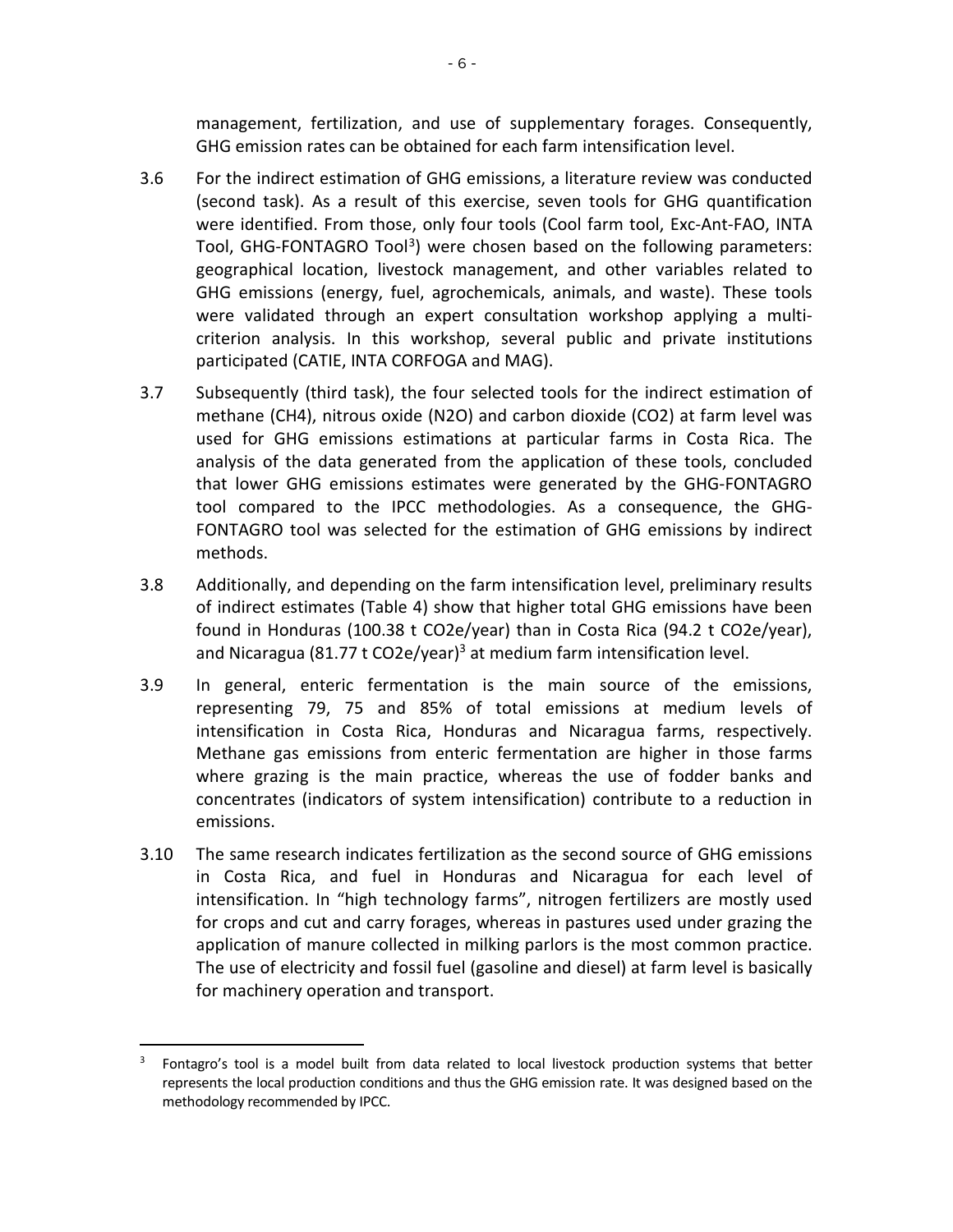management, fertilization, and use of supplementary forages. Consequently, GHG emission rates can be obtained for each farm intensification level.

- 3.6 For the indirect estimation of GHG emissions, a literature review was conducted (second task). As a result of this exercise, seven tools for GHG quantification were identified. From those, only four tools (Cool farm tool, Exc-Ant-FAO, INTA Tool, GHG-FONTAGRO Tool<sup>3</sup>) were chosen based on the following parameters: geographical location, livestock management, and other variables related to GHG emissions (energy, fuel, agrochemicals, animals, and waste). These tools were validated through an expert consultation workshop applying a multicriterion analysis. In this workshop, several public and private institutions participated (CATIE, INTA CORFOGA and MAG).
- 3.7 Subsequently (third task), the four selected tools for the indirect estimation of methane (CH4), nitrous oxide (N2O) and carbon dioxide (CO2) at farm level was used for GHG emissions estimations at particular farms in Costa Rica. The analysis of the data generated from the application of these tools, concluded that lower GHG emissions estimates were generated by the GHG-FONTAGRO tool compared to the IPCC methodologies. As a consequence, the GHG-FONTAGRO tool was selected for the estimation of GHG emissions by indirect methods.
- 3.8 Additionally, and depending on the farm intensification level, preliminary results of indirect estimates (Table 4) show that higher total GHG emissions have been found in Honduras (100.38 t CO2e/year) than in Costa Rica (94.2 t CO2e/year), and Nicaragua (81.77 t CO2e/year)<sup>3</sup> at medium farm intensification level.
- 3.9 In general, enteric fermentation is the main source of the emissions, representing 79, 75 and 85% of total emissions at medium levels of intensification in Costa Rica, Honduras and Nicaragua farms, respectively. Methane gas emissions from enteric fermentation are higher in those farms where grazing is the main practice, whereas the use of fodder banks and concentrates (indicators of system intensification) contribute to a reduction in emissions.
- 3.10 The same research indicates fertilization as the second source of GHG emissions in Costa Rica, and fuel in Honduras and Nicaragua for each level of intensification. In "high technology farms", nitrogen fertilizers are mostly used for crops and cut and carry forages, whereas in pastures used under grazing the application of manure collected in milking parlors is the most common practice. The use of electricity and fossil fuel (gasoline and diesel) at farm level is basically for machinery operation and transport.

<span id="page-11-0"></span> <sup>3</sup> Fontagro's tool is a model built from data related to local livestock production systems that better represents the local production conditions and thus the GHG emission rate. It was designed based on the methodology recommended by IPCC.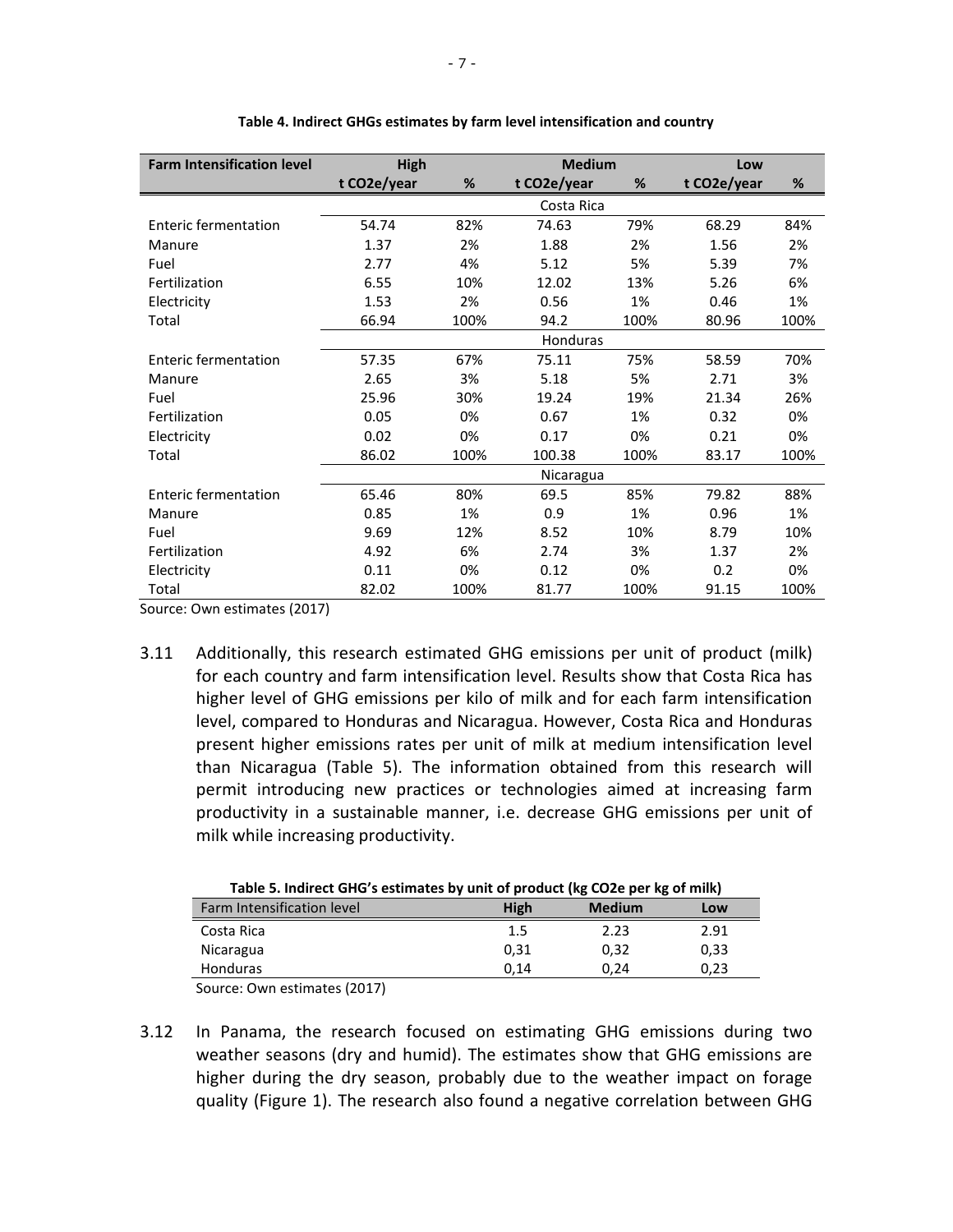| <b>Farm Intensification level</b> | High                     |      | <b>Medium</b> |      | Low                      |      |
|-----------------------------------|--------------------------|------|---------------|------|--------------------------|------|
|                                   | t CO <sub>2</sub> e/year | %    | t CO2e/year   | %    | t CO <sub>2</sub> e/year | %    |
|                                   |                          |      | Costa Rica    |      |                          |      |
| <b>Enteric fermentation</b>       | 54.74                    | 82%  | 74.63         | 79%  | 68.29                    | 84%  |
| Manure                            | 1.37                     | 2%   | 1.88          | 2%   | 1.56                     | 2%   |
| Fuel                              | 2.77                     | 4%   | 5.12          | 5%   | 5.39                     | 7%   |
| Fertilization                     | 6.55                     | 10%  | 12.02         | 13%  | 5.26                     | 6%   |
| Electricity                       | 1.53                     | 2%   | 0.56          | 1%   | 0.46                     | 1%   |
| Total                             | 66.94                    | 100% | 94.2          | 100% | 80.96                    | 100% |
|                                   |                          |      | Honduras      |      |                          |      |
| <b>Enteric fermentation</b>       | 57.35                    | 67%  | 75.11         | 75%  | 58.59                    | 70%  |
| Manure                            | 2.65                     | 3%   | 5.18          | 5%   | 2.71                     | 3%   |
| Fuel                              | 25.96                    | 30%  | 19.24         | 19%  | 21.34                    | 26%  |
| Fertilization                     | 0.05                     | 0%   | 0.67          | 1%   | 0.32                     | 0%   |
| Electricity                       | 0.02                     | 0%   | 0.17          | 0%   | 0.21                     | 0%   |
| Total                             | 86.02                    | 100% | 100.38        | 100% | 83.17                    | 100% |
|                                   |                          |      | Nicaragua     |      |                          |      |
| <b>Enteric fermentation</b>       | 65.46                    | 80%  | 69.5          | 85%  | 79.82                    | 88%  |
| Manure                            | 0.85                     | 1%   | 0.9           | 1%   | 0.96                     | 1%   |
| Fuel                              | 9.69                     | 12%  | 8.52          | 10%  | 8.79                     | 10%  |
| Fertilization                     | 4.92                     | 6%   | 2.74          | 3%   | 1.37                     | 2%   |
| Electricity                       | 0.11                     | 0%   | 0.12          | 0%   | 0.2                      | 0%   |
| Total                             | 82.02                    | 100% | 81.77         | 100% | 91.15                    | 100% |

#### **Table 4. Indirect GHGs estimates by farm level intensification and country**

Source: Own estimates (2017)

3.11 Additionally, this research estimated GHG emissions per unit of product (milk) for each country and farm intensification level. Results show that Costa Rica has higher level of GHG emissions per kilo of milk and for each farm intensification level, compared to Honduras and Nicaragua. However, Costa Rica and Honduras present higher emissions rates per unit of milk at medium intensification level than Nicaragua [\(Table 5\)](#page-12-0). The information obtained from this research will permit introducing new practices or technologies aimed at increasing farm productivity in a sustainable manner, i.e. decrease GHG emissions per unit of milk while increasing productivity.

<span id="page-12-0"></span>

| Table 5. Indirect GHG's estimates by unit of product (kg CO2e per kg of milk) |      |      |      |  |
|-------------------------------------------------------------------------------|------|------|------|--|
| Farm Intensification level<br>High<br><b>Medium</b><br>Low                    |      |      |      |  |
| Costa Rica                                                                    | 1.5  | 2.23 | 2.91 |  |
| Nicaragua                                                                     | 0.31 | 0.32 | 0,33 |  |
| <b>Honduras</b>                                                               | 0.14 | 0.24 | 0,23 |  |

Source: Own estimates (2017)

3.12 In Panama, the research focused on estimating GHG emissions during two weather seasons (dry and humid). The estimates show that GHG emissions are higher during the dry season, probably due to the weather impact on forage quality [\(Figure 1\)](#page-13-0). The research also found a negative correlation between GHG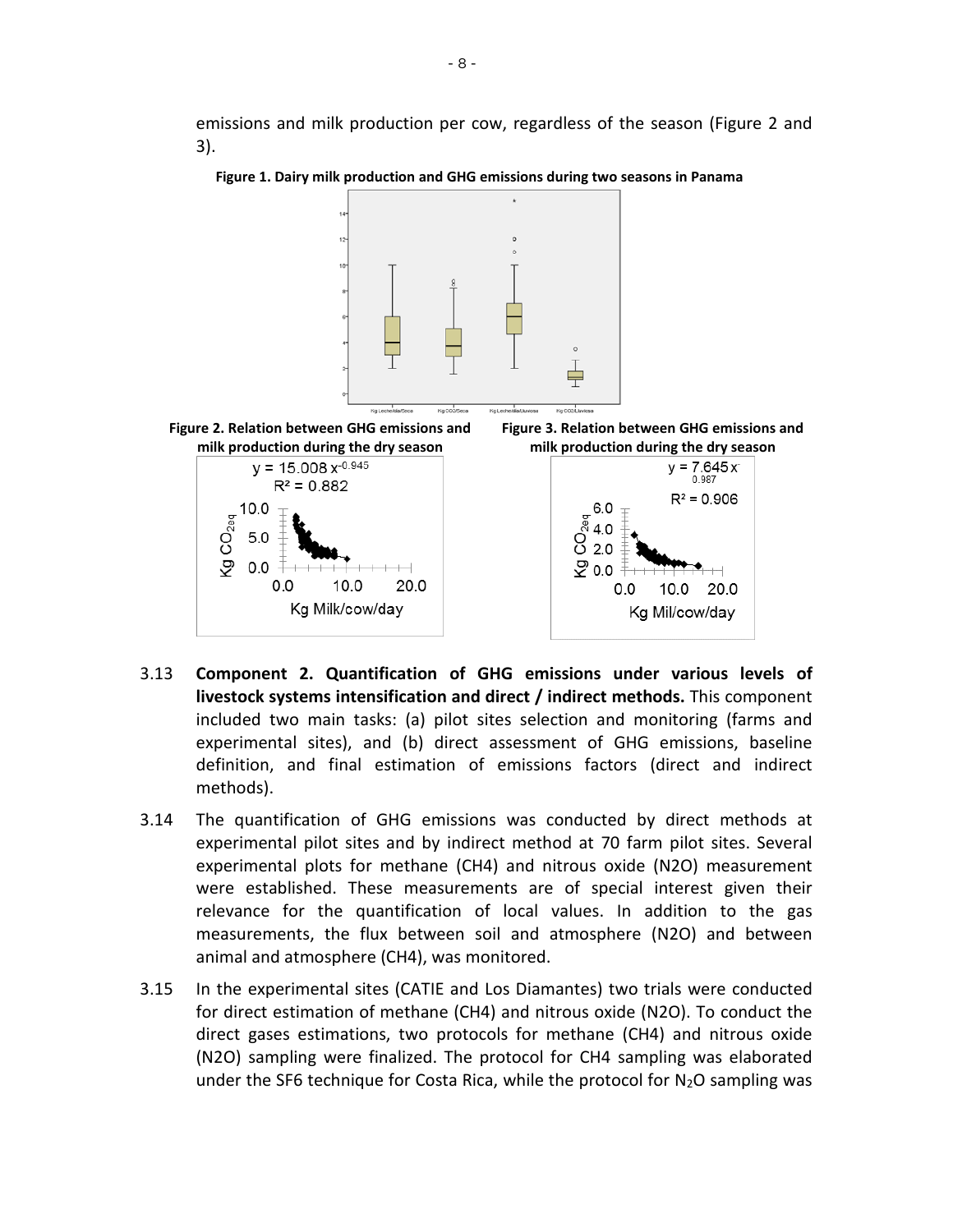emissions and milk production per cow, regardless of the season (Figure 2 and 3).

<span id="page-13-0"></span>

**Figure 1. Dairy milk production and GHG emissions during two seasons in Panama**

- 3.13 **Component 2. Quantification of GHG emissions under various levels of livestock systems intensification and direct / indirect methods.** This component included two main tasks: (a) pilot sites selection and monitoring (farms and experimental sites), and (b) direct assessment of GHG emissions, baseline definition, and final estimation of emissions factors (direct and indirect methods).
- 3.14 The quantification of GHG emissions was conducted by direct methods at experimental pilot sites and by indirect method at 70 farm pilot sites. Several experimental plots for methane (CH4) and nitrous oxide (N2O) measurement were established. These measurements are of special interest given their relevance for the quantification of local values. In addition to the gas measurements, the flux between soil and atmosphere (N2O) and between animal and atmosphere (CH4), was monitored.
- 3.15 In the experimental sites (CATIE and Los Diamantes) two trials were conducted for direct estimation of methane (CH4) and nitrous oxide (N2O). To conduct the direct gases estimations, two protocols for methane (CH4) and nitrous oxide (N2O) sampling were finalized. The protocol for CH4 sampling was elaborated under the SF6 technique for Costa Rica, while the protocol for  $N_2O$  sampling was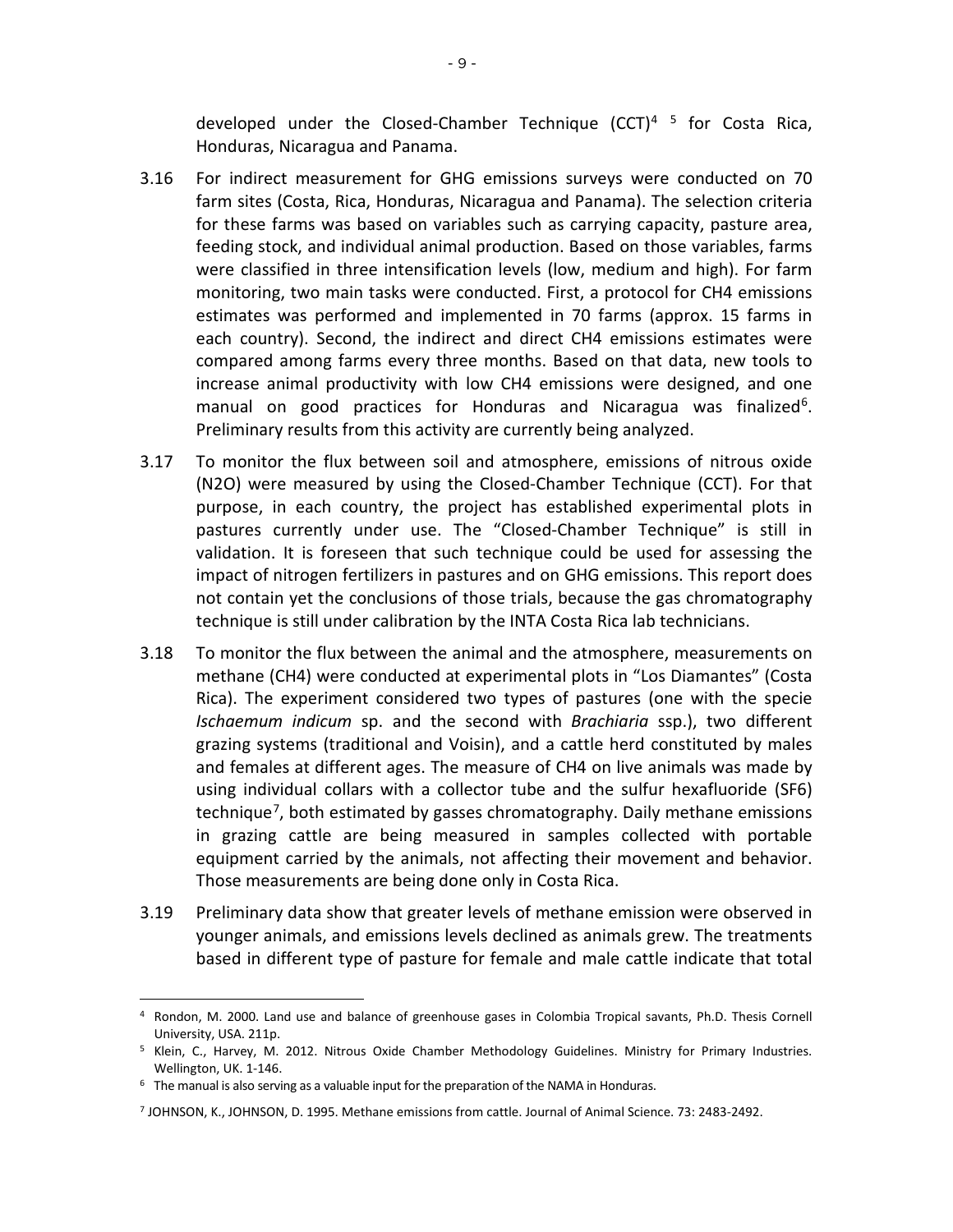developed under the Closed-Chamber Technique  $(CCT)^{4-5}$  $(CCT)^{4-5}$  $(CCT)^{4-5}$  $(CCT)^{4-5}$  $(CCT)^{4-5}$  for Costa Rica, Honduras, Nicaragua and Panama.

- 3.16 For indirect measurement for GHG emissions surveys were conducted on 70 farm sites (Costa, Rica, Honduras, Nicaragua and Panama). The selection criteria for these farms was based on variables such as carrying capacity, pasture area, feeding stock, and individual animal production. Based on those variables, farms were classified in three intensification levels (low, medium and high). For farm monitoring, two main tasks were conducted. First, a protocol for CH4 emissions estimates was performed and implemented in 70 farms (approx. 15 farms in each country). Second, the indirect and direct CH4 emissions estimates were compared among farms every three months. Based on that data, new tools to increase animal productivity with low CH4 emissions were designed, and one manual on good practices for Honduras and Nicaragua was finalized<sup>[6](#page-14-2)</sup>. Preliminary results from this activity are currently being analyzed.
- 3.17 To monitor the flux between soil and atmosphere, emissions of nitrous oxide (N2O) were measured by using the Closed-Chamber Technique (CCT). For that purpose, in each country, the project has established experimental plots in pastures currently under use. The "Closed-Chamber Technique" is still in validation. It is foreseen that such technique could be used for assessing the impact of nitrogen fertilizers in pastures and on GHG emissions. This report does not contain yet the conclusions of those trials, because the gas chromatography technique is still under calibration by the INTA Costa Rica lab technicians.
- 3.18 To monitor the flux between the animal and the atmosphere, measurements on methane (CH4) were conducted at experimental plots in "Los Diamantes" (Costa Rica). The experiment considered two types of pastures (one with the specie *Ischaemum indicum* sp. and the second with *Brachiaria* ssp.), two different grazing systems (traditional and Voisin), and a cattle herd constituted by males and females at different ages. The measure of CH4 on live animals was made by using individual collars with a collector tube and the sulfur hexafluoride (SF6) technique<sup>7</sup>, both estimated by gasses chromatography. Daily methane emissions in grazing cattle are being measured in samples collected with portable equipment carried by the animals, not affecting their movement and behavior. Those measurements are being done only in Costa Rica.
- 3.19 Preliminary data show that greater levels of methane emission were observed in younger animals, and emissions levels declined as animals grew. The treatments based in different type of pasture for female and male cattle indicate that total

<span id="page-14-0"></span> <sup>4</sup> Rondon, M. 2000. Land use and balance of greenhouse gases in Colombia Tropical savants, Ph.D. Thesis Cornell University, USA. 211p.<br><sup>5</sup> Klein, C., Harvey, M. 2012. Nitrous Oxide Chamber Methodology Guidelines. Ministry for Primary Industries.

<span id="page-14-1"></span>Wellington, UK. 1-146. 6 Wellington, UK. 1-146. 6 The manual is also serving as a valuable input for the preparation of the NAMA in Honduras.

<span id="page-14-2"></span>

<span id="page-14-3"></span><sup>7</sup> JOHNSON, K., JOHNSON, D. 1995. Methane emissions from cattle. Journal of Animal Science. 73: 2483-2492.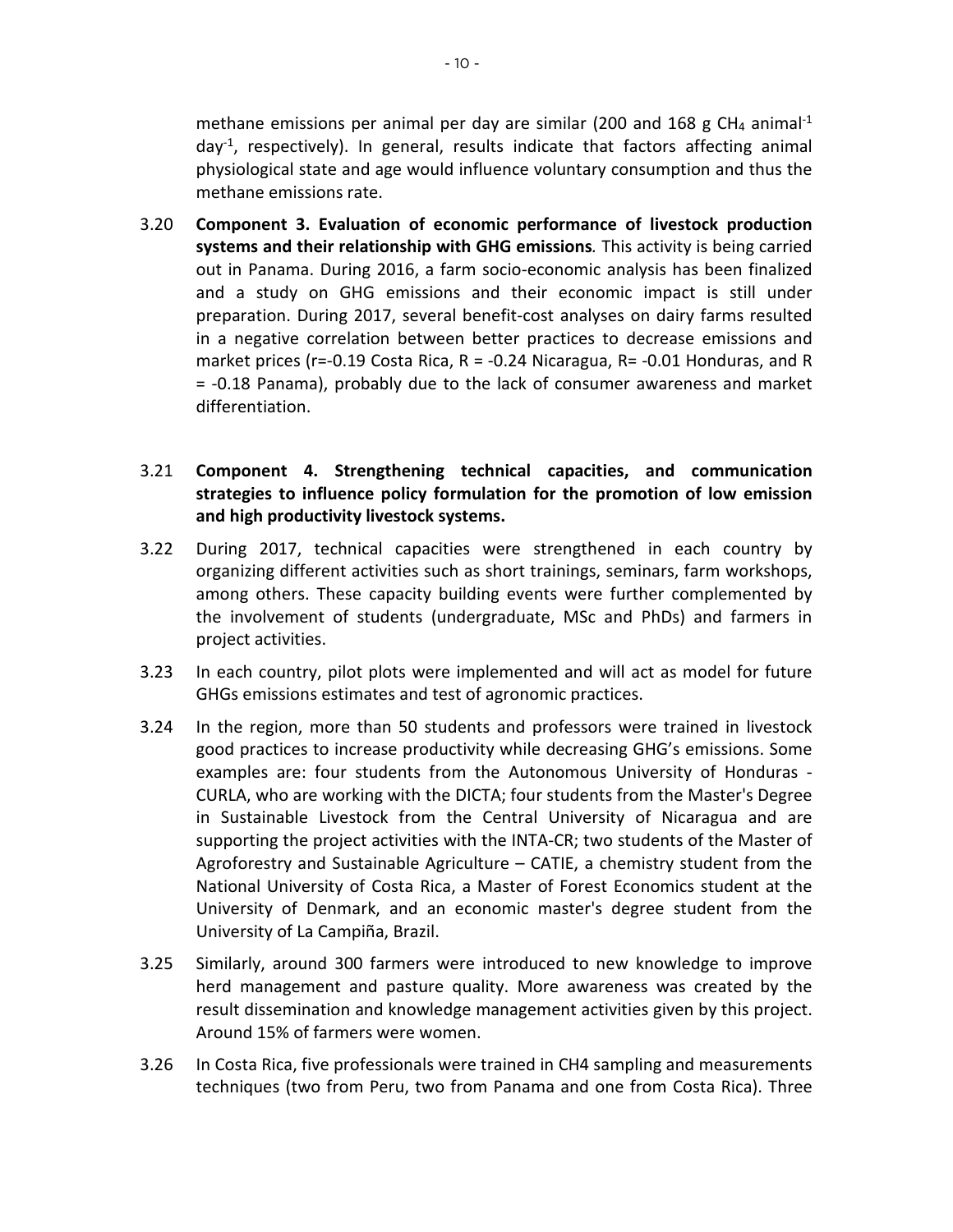methane emissions per animal per day are similar (200 and 168 g CH<sub>4</sub> animal<sup>-1</sup>  $day<sup>-1</sup>$ , respectively). In general, results indicate that factors affecting animal physiological state and age would influence voluntary consumption and thus the methane emissions rate.

- 3.20 **Component 3. Evaluation of economic performance of livestock production systems and their relationship with GHG emissions***.* This activity is being carried out in Panama. During 2016, a farm socio-economic analysis has been finalized and a study on GHG emissions and their economic impact is still under preparation. During 2017, several benefit-cost analyses on dairy farms resulted in a negative correlation between better practices to decrease emissions and market prices ( $r=-0.19$  Costa Rica,  $R = -0.24$  Nicaragua,  $R = -0.01$  Honduras, and R = -0.18 Panama), probably due to the lack of consumer awareness and market differentiation.
- 3.21 **Component 4. Strengthening technical capacities, and communication strategies to influence policy formulation for the promotion of low emission and high productivity livestock systems.**
- 3.22 During 2017, technical capacities were strengthened in each country by organizing different activities such as short trainings, seminars, farm workshops, among others. These capacity building events were further complemented by the involvement of students (undergraduate, MSc and PhDs) and farmers in project activities.
- 3.23 In each country, pilot plots were implemented and will act as model for future GHGs emissions estimates and test of agronomic practices.
- 3.24 In the region, more than 50 students and professors were trained in livestock good practices to increase productivity while decreasing GHG's emissions. Some examples are: four students from the Autonomous University of Honduras - CURLA, who are working with the DICTA; four students from the Master's Degree in Sustainable Livestock from the Central University of Nicaragua and are supporting the project activities with the INTA-CR; two students of the Master of Agroforestry and Sustainable Agriculture – CATIE, a chemistry student from the National University of Costa Rica, a Master of Forest Economics student at the University of Denmark, and an economic master's degree student from the University of La Campiña, Brazil.
- 3.25 Similarly, around 300 farmers were introduced to new knowledge to improve herd management and pasture quality. More awareness was created by the result dissemination and knowledge management activities given by this project. Around 15% of farmers were women.
- 3.26 In Costa Rica, five professionals were trained in CH4 sampling and measurements techniques (two from Peru, two from Panama and one from Costa Rica). Three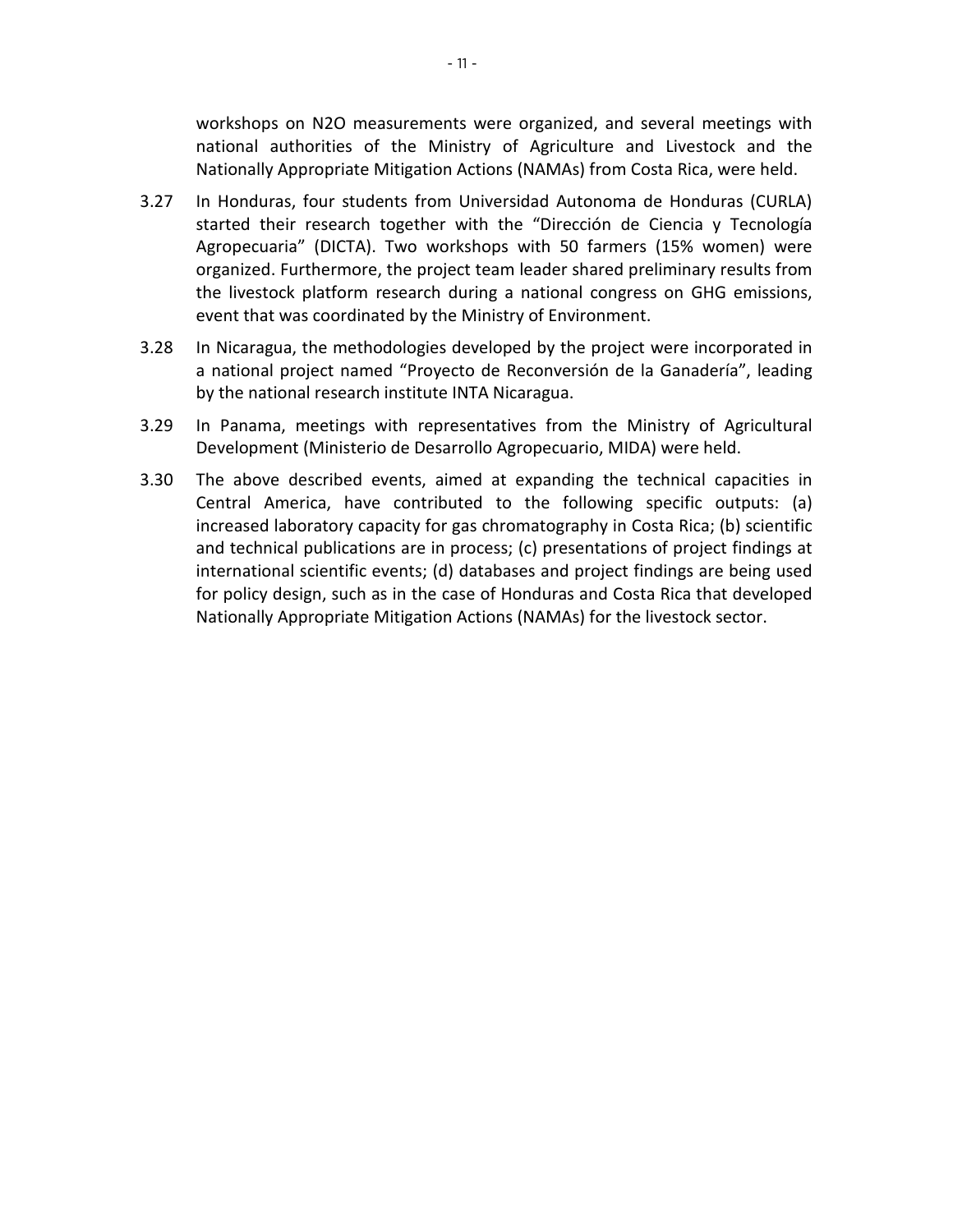workshops on N2O measurements were organized, and several meetings with national authorities of the Ministry of Agriculture and Livestock and the Nationally Appropriate Mitigation Actions (NAMAs) from Costa Rica, were held.

- 3.27 In Honduras, four students from Universidad Autonoma de Honduras (CURLA) started their research together with the "Dirección de Ciencia y Tecnología Agropecuaria" (DICTA). Two workshops with 50 farmers (15% women) were organized. Furthermore, the project team leader shared preliminary results from the livestock platform research during a national congress on GHG emissions, event that was coordinated by the Ministry of Environment.
- 3.28 In Nicaragua, the methodologies developed by the project were incorporated in a national project named "Proyecto de Reconversión de la Ganadería", leading by the national research institute INTA Nicaragua.
- 3.29 In Panama, meetings with representatives from the Ministry of Agricultural Development (Ministerio de Desarrollo Agropecuario, MIDA) were held.
- 3.30 The above described events, aimed at expanding the technical capacities in Central America, have contributed to the following specific outputs: (a) increased laboratory capacity for gas chromatography in Costa Rica; (b) scientific and technical publications are in process; (c) presentations of project findings at international scientific events; (d) databases and project findings are being used for policy design, such as in the case of Honduras and Costa Rica that developed Nationally Appropriate Mitigation Actions (NAMAs) for the livestock sector.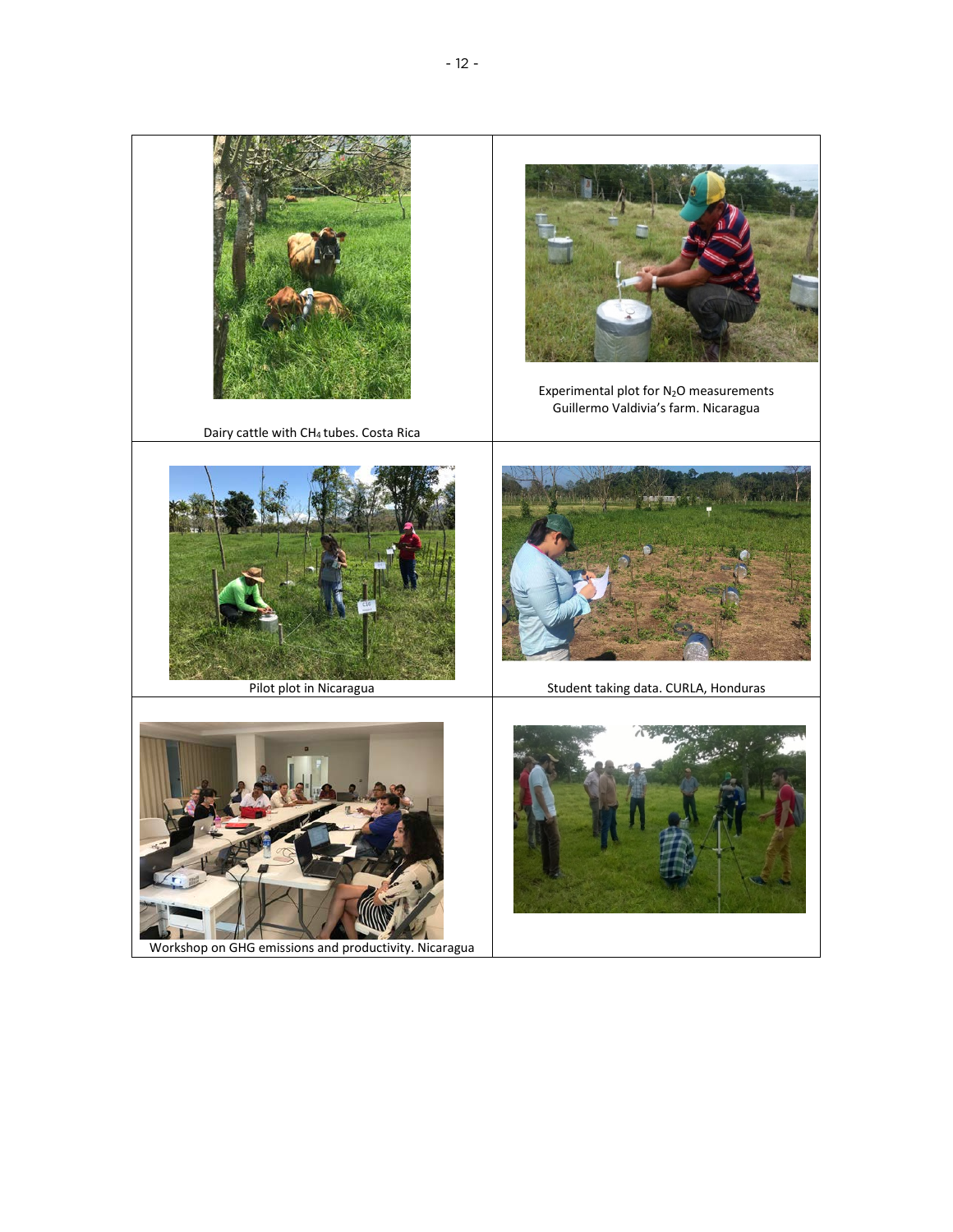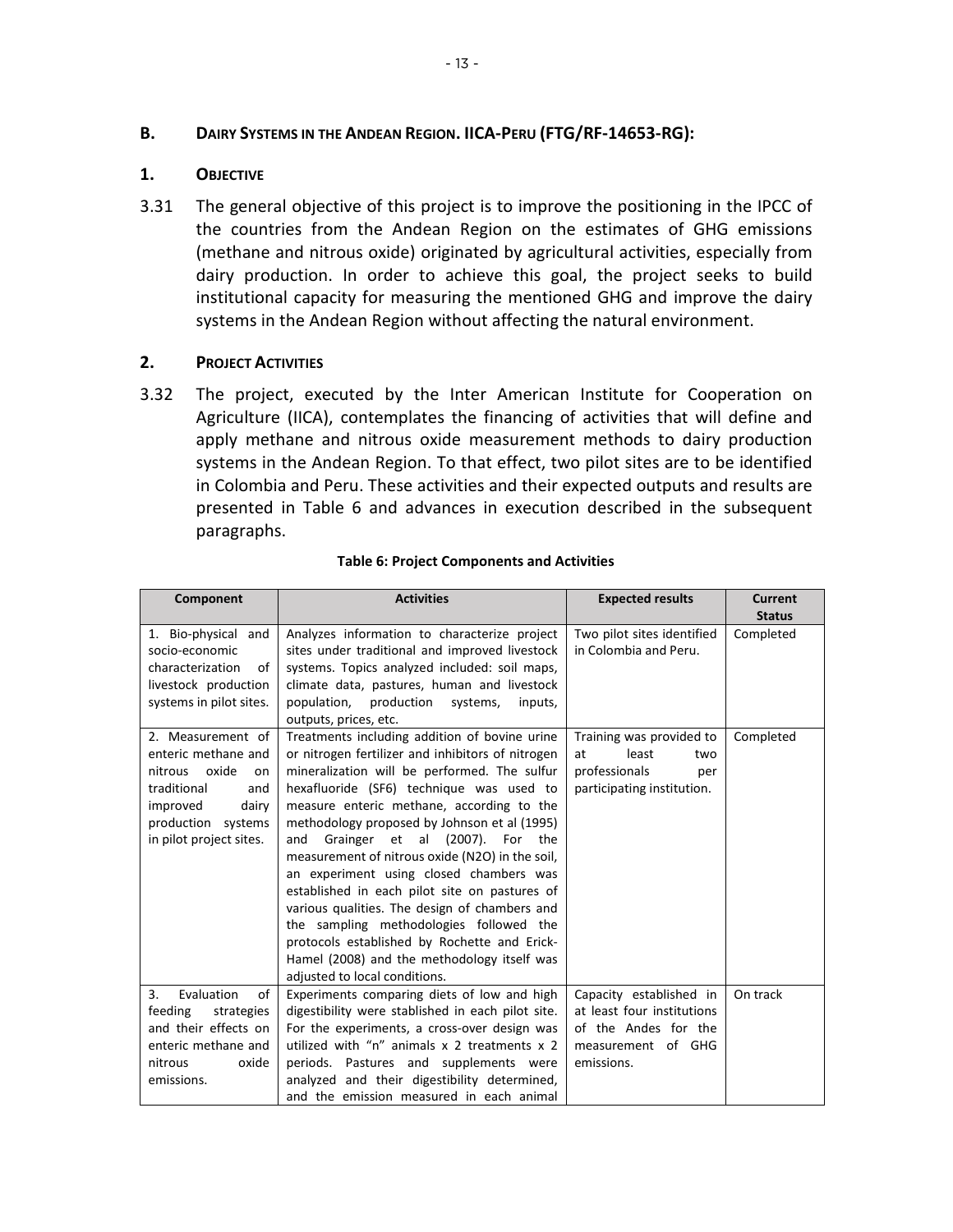### <span id="page-18-0"></span>**B. DAIRY SYSTEMS IN THE ANDEAN REGION. IICA-PERU (FTG/RF-14653-RG):**

### **1. OBJECTIVE**

3.31 The general objective of this project is to improve the positioning in the IPCC of the countries from the Andean Region on the estimates of GHG emissions (methane and nitrous oxide) originated by agricultural activities, especially from dairy production. In order to achieve this goal, the project seeks to build institutional capacity for measuring the mentioned GHG and improve the dairy systems in the Andean Region without affecting the natural environment.

### **2. PROJECT ACTIVITIES**

3.32 The project, executed by the Inter American Institute for Cooperation on Agriculture (IICA), contemplates the financing of activities that will define and apply methane and nitrous oxide measurement methods to dairy production systems in the Andean Region. To that effect, two pilot sites are to be identified in Colombia and Peru. These activities and their expected outputs and results are presented in Table 6 and advances in execution described in the subsequent paragraphs.

| <b>Activities</b><br>Component                                                                                                                                 |                                                                                                                                                                                                                                                                                                                                                                                                                                                                                                                                                                                                                                                                                                                    | <b>Expected results</b>                                                                                           | <b>Current</b> |
|----------------------------------------------------------------------------------------------------------------------------------------------------------------|--------------------------------------------------------------------------------------------------------------------------------------------------------------------------------------------------------------------------------------------------------------------------------------------------------------------------------------------------------------------------------------------------------------------------------------------------------------------------------------------------------------------------------------------------------------------------------------------------------------------------------------------------------------------------------------------------------------------|-------------------------------------------------------------------------------------------------------------------|----------------|
|                                                                                                                                                                |                                                                                                                                                                                                                                                                                                                                                                                                                                                                                                                                                                                                                                                                                                                    |                                                                                                                   | <b>Status</b>  |
| 1. Bio-physical and<br>socio-economic<br>characterization<br>of<br>livestock production<br>systems in pilot sites.                                             | Analyzes information to characterize project<br>sites under traditional and improved livestock<br>systems. Topics analyzed included: soil maps,<br>climate data, pastures, human and livestock<br>population,<br>production<br>systems,<br>inputs,<br>outputs, prices, etc.                                                                                                                                                                                                                                                                                                                                                                                                                                        | Two pilot sites identified<br>in Colombia and Peru.                                                               | Completed      |
| 2. Measurement of<br>enteric methane and<br>oxide<br>nitrous<br>on<br>traditional<br>and<br>improved<br>dairy<br>production systems<br>in pilot project sites. | Treatments including addition of bovine urine<br>or nitrogen fertilizer and inhibitors of nitrogen<br>mineralization will be performed. The sulfur<br>hexafluoride (SF6) technique was used to<br>measure enteric methane, according to the<br>methodology proposed by Johnson et al (1995)<br>Grainger et al (2007).<br>For the<br>and<br>measurement of nitrous oxide (N2O) in the soil,<br>an experiment using closed chambers was<br>established in each pilot site on pastures of<br>various qualities. The design of chambers and<br>the sampling methodologies followed the<br>protocols established by Rochette and Erick-<br>Hamel (2008) and the methodology itself was<br>adjusted to local conditions. | Training was provided to<br>least<br>at<br>two<br>professionals<br>per<br>participating institution.              | Completed      |
| Evaluation<br>3.<br>of<br>feeding<br>strategies<br>and their effects on<br>enteric methane and<br>nitrous<br>oxide<br>emissions.                               | Experiments comparing diets of low and high<br>digestibility were stablished in each pilot site.<br>For the experiments, a cross-over design was<br>utilized with "n" animals x 2 treatments x 2<br>periods. Pastures and supplements were<br>analyzed and their digestibility determined,<br>and the emission measured in each animal                                                                                                                                                                                                                                                                                                                                                                             | Capacity established in<br>at least four institutions<br>of the Andes for the<br>measurement of GHG<br>emissions. | On track       |

#### **Table 6: Project Components and Activities**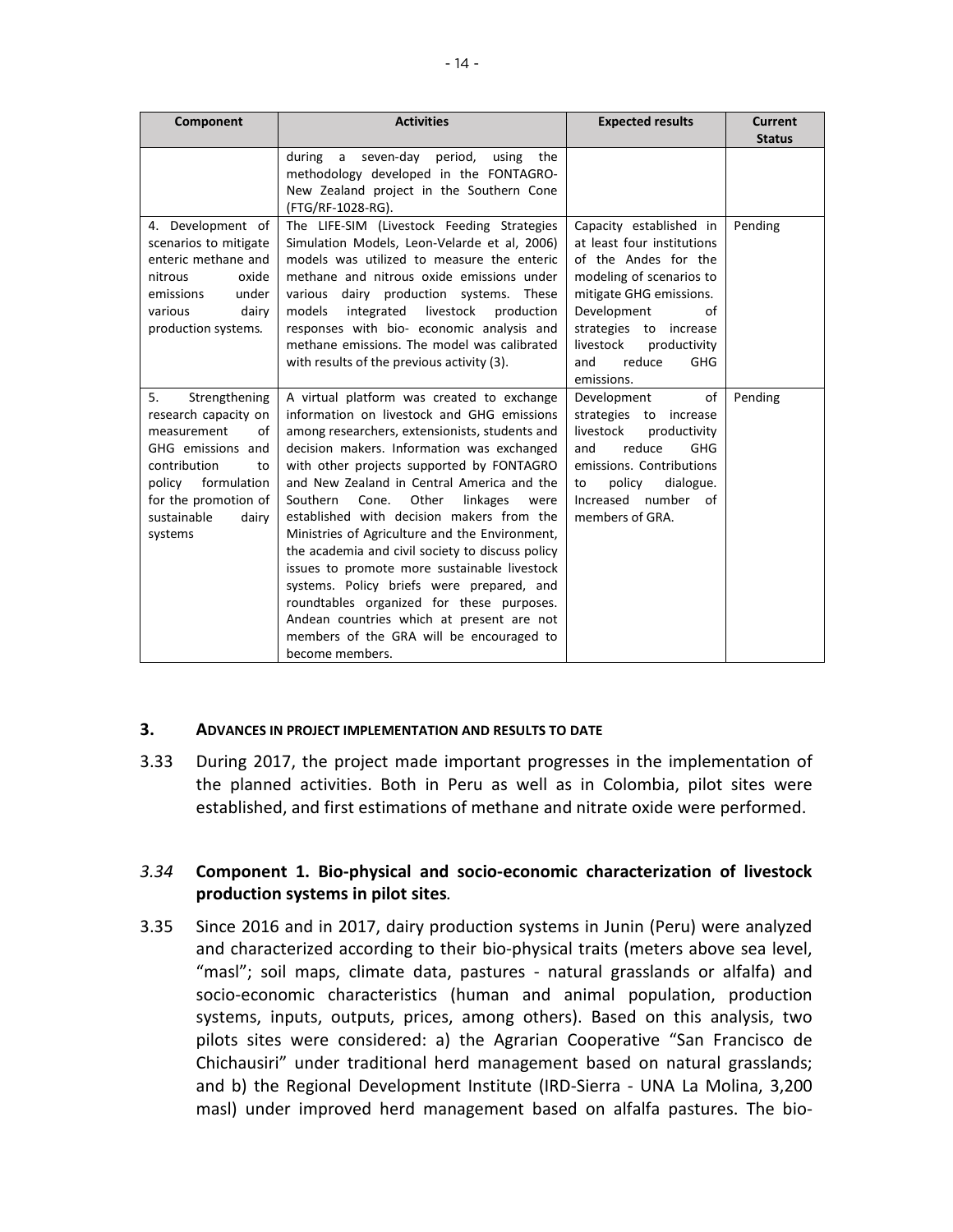| Component                           | <b>Activities</b>                                                                    | <b>Expected results</b>                          | <b>Current</b> |
|-------------------------------------|--------------------------------------------------------------------------------------|--------------------------------------------------|----------------|
|                                     |                                                                                      |                                                  | <b>Status</b>  |
|                                     | during a<br>seven-day period,<br>using the<br>methodology developed in the FONTAGRO- |                                                  |                |
|                                     | New Zealand project in the Southern Cone                                             |                                                  |                |
|                                     | (FTG/RF-1028-RG).                                                                    |                                                  |                |
| 4. Development of                   | The LIFE-SIM (Livestock Feeding Strategies                                           | Capacity established in                          | Pending        |
| scenarios to mitigate               | Simulation Models, Leon-Velarde et al, 2006)                                         | at least four institutions                       |                |
| enteric methane and                 | models was utilized to measure the enteric                                           | of the Andes for the                             |                |
| nitrous<br>oxide                    | methane and nitrous oxide emissions under                                            | modeling of scenarios to                         |                |
| emissions<br>under                  | various dairy production systems. These                                              | mitigate GHG emissions.                          |                |
| various<br>dairy                    | models<br>integrated<br>livestock<br>production                                      | Development<br>of                                |                |
| production systems.                 | responses with bio- economic analysis and                                            | strategies to<br>increase                        |                |
|                                     | methane emissions. The model was calibrated                                          | livestock<br>productivity                        |                |
|                                     | with results of the previous activity (3).                                           | reduce<br><b>GHG</b><br>and                      |                |
|                                     |                                                                                      | emissions.                                       |                |
| 5.<br>Strengthening                 | A virtual platform was created to exchange                                           | of<br>Development                                | Pending        |
| research capacity on                | information on livestock and GHG emissions                                           | strategies to increase                           |                |
| measurement<br>of                   | among researchers, extensionists, students and                                       | livestock<br>productivity                        |                |
| GHG emissions and                   | decision makers. Information was exchanged                                           | reduce<br><b>GHG</b><br>and                      |                |
| contribution<br>to                  | with other projects supported by FONTAGRO                                            | emissions. Contributions                         |                |
| formulation<br>policy               | and New Zealand in Central America and the<br>Southern                               | policy<br>dialogue.<br>to<br>Increased number of |                |
| for the promotion of<br>sustainable | Other<br>Cone.<br>linkages<br>were<br>established with decision makers from the      | members of GRA.                                  |                |
| dairy<br>systems                    | Ministries of Agriculture and the Environment,                                       |                                                  |                |
|                                     | the academia and civil society to discuss policy                                     |                                                  |                |
|                                     | issues to promote more sustainable livestock                                         |                                                  |                |
|                                     | systems. Policy briefs were prepared, and                                            |                                                  |                |
|                                     | roundtables organized for these purposes.                                            |                                                  |                |
|                                     | Andean countries which at present are not                                            |                                                  |                |
|                                     | members of the GRA will be encouraged to                                             |                                                  |                |
|                                     | become members.                                                                      |                                                  |                |

### **3. ADVANCES IN PROJECT IMPLEMENTATION AND RESULTS TO DATE**

3.33 During 2017, the project made important progresses in the implementation of the planned activities. Both in Peru as well as in Colombia, pilot sites were established, and first estimations of methane and nitrate oxide were performed.

## *3.34* **Component 1. Bio-physical and socio-economic characterization of livestock production systems in pilot sites***.*

3.35 Since 2016 and in 2017, dairy production systems in Junin (Peru) were analyzed and characterized according to their bio-physical traits (meters above sea level, "masl"; soil maps, climate data, pastures - natural grasslands or alfalfa) and socio-economic characteristics (human and animal population, production systems, inputs, outputs, prices, among others). Based on this analysis, two pilots sites were considered: a) the Agrarian Cooperative "San Francisco de Chichausiri" under traditional herd management based on natural grasslands; and b) the Regional Development Institute (IRD-Sierra - UNA La Molina, 3,200 masl) under improved herd management based on alfalfa pastures. The bio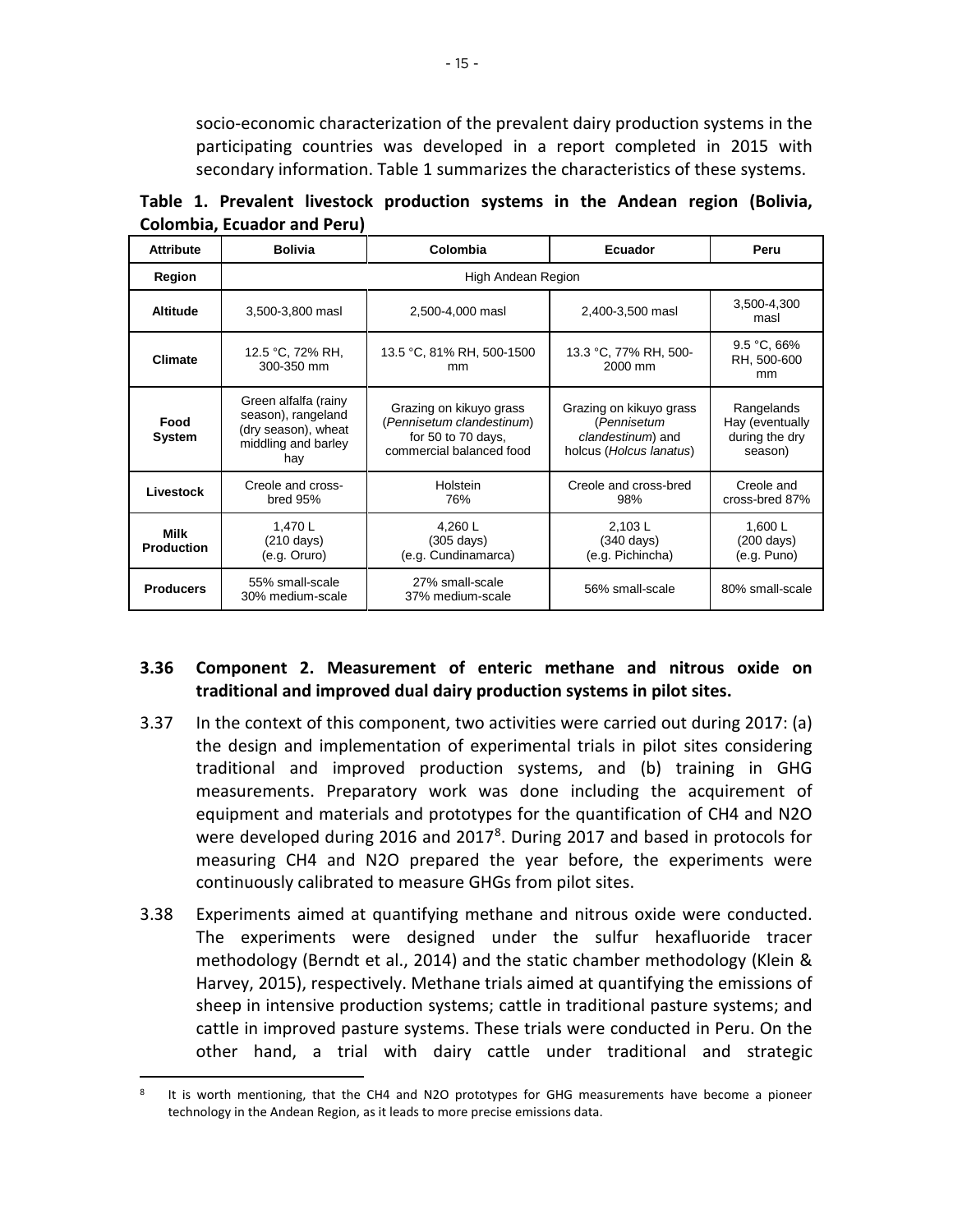socio-economic characterization of the prevalent dairy production systems in the participating countries was developed in a report completed in 2015 with secondary information. Table 1 summarizes the characteristics of these systems.

| <b>Attribute</b><br><b>Bolivia</b> |                                                                                                 | Colombia                                                                                               | <b>Ecuador</b>                                                                         | Peru                                                       |  |  |
|------------------------------------|-------------------------------------------------------------------------------------------------|--------------------------------------------------------------------------------------------------------|----------------------------------------------------------------------------------------|------------------------------------------------------------|--|--|
| Region                             |                                                                                                 | High Andean Region                                                                                     |                                                                                        |                                                            |  |  |
| <b>Altitude</b>                    | 3,500-3,800 masl                                                                                | 2,500-4,000 masl                                                                                       | 2,400-3,500 masl                                                                       | 3,500-4,300<br>masl                                        |  |  |
| <b>Climate</b>                     | 12.5 °C, 72% RH,<br>300-350 mm                                                                  | 13.5 °C, 81% RH, 500-1500<br>mm                                                                        | 13.3 °C, 77% RH, 500-<br>2000 mm                                                       | 9.5 °C, 66%<br>RH, 500-600<br>mm                           |  |  |
| Food<br>System                     | Green alfalfa (rainy<br>season), rangeland<br>(dry season), wheat<br>middling and barley<br>hay | Grazing on kikuyo grass<br>(Pennisetum clandestinum)<br>for 50 to 70 days,<br>commercial balanced food | Grazing on kikuyo grass<br>(Pennisetum<br>clandestinum) and<br>holcus (Holcus lanatus) | Rangelands<br>Hay (eventually<br>during the dry<br>season) |  |  |
| Livestock                          | Creole and cross-<br>bred 95%                                                                   | Holstein<br>76%                                                                                        | Creole and cross-bred<br>98%                                                           | Creole and<br>cross-bred 87%                               |  |  |
| Milk<br><b>Production</b>          | 1,470 L<br>$(210 \text{ days})$<br>(e.g. Oruro)                                                 | 4,260 L<br>(305 days)<br>(e.g. Cundinamarca)                                                           | 2,103L<br>$(340 \text{ days})$<br>(e.g. Pichincha)                                     | 1.600L<br>$(200 \text{ days})$<br>(e.g. Puno)              |  |  |
| <b>Producers</b>                   | 55% small-scale<br>30% medium-scale                                                             | 27% small-scale<br>37% medium-scale                                                                    | 56% small-scale                                                                        | 80% small-scale                                            |  |  |

**Table 1. Prevalent livestock production systems in the Andean region (Bolivia, Colombia, Ecuador and Peru)**

### **3.36 Component 2. Measurement of enteric methane and nitrous oxide on traditional and improved dual dairy production systems in pilot sites.**

- 3.37 In the context of this component, two activities were carried out during 2017: (a) the design and implementation of experimental trials in pilot sites considering traditional and improved production systems, and (b) training in GHG measurements. Preparatory work was done including the acquirement of equipment and materials and prototypes for the quantification of CH4 and N2O were developed during 2016 and 2017<sup>8</sup>. During 2017 and based in protocols for measuring CH4 and N2O prepared the year before, the experiments were continuously calibrated to measure GHGs from pilot sites.
- 3.38 Experiments aimed at quantifying methane and nitrous oxide were conducted. The experiments were designed under the sulfur hexafluoride tracer methodology (Berndt et al., 2014) and the static chamber methodology (Klein & Harvey, 2015), respectively. Methane trials aimed at quantifying the emissions of sheep in intensive production systems; cattle in traditional pasture systems; and cattle in improved pasture systems. These trials were conducted in Peru. On the other hand, a trial with dairy cattle under traditional and strategic

<span id="page-20-0"></span>It is worth mentioning, that the CH4 and N2O prototypes for GHG measurements have become a pioneer technology in the Andean Region, as it leads to more precise emissions data.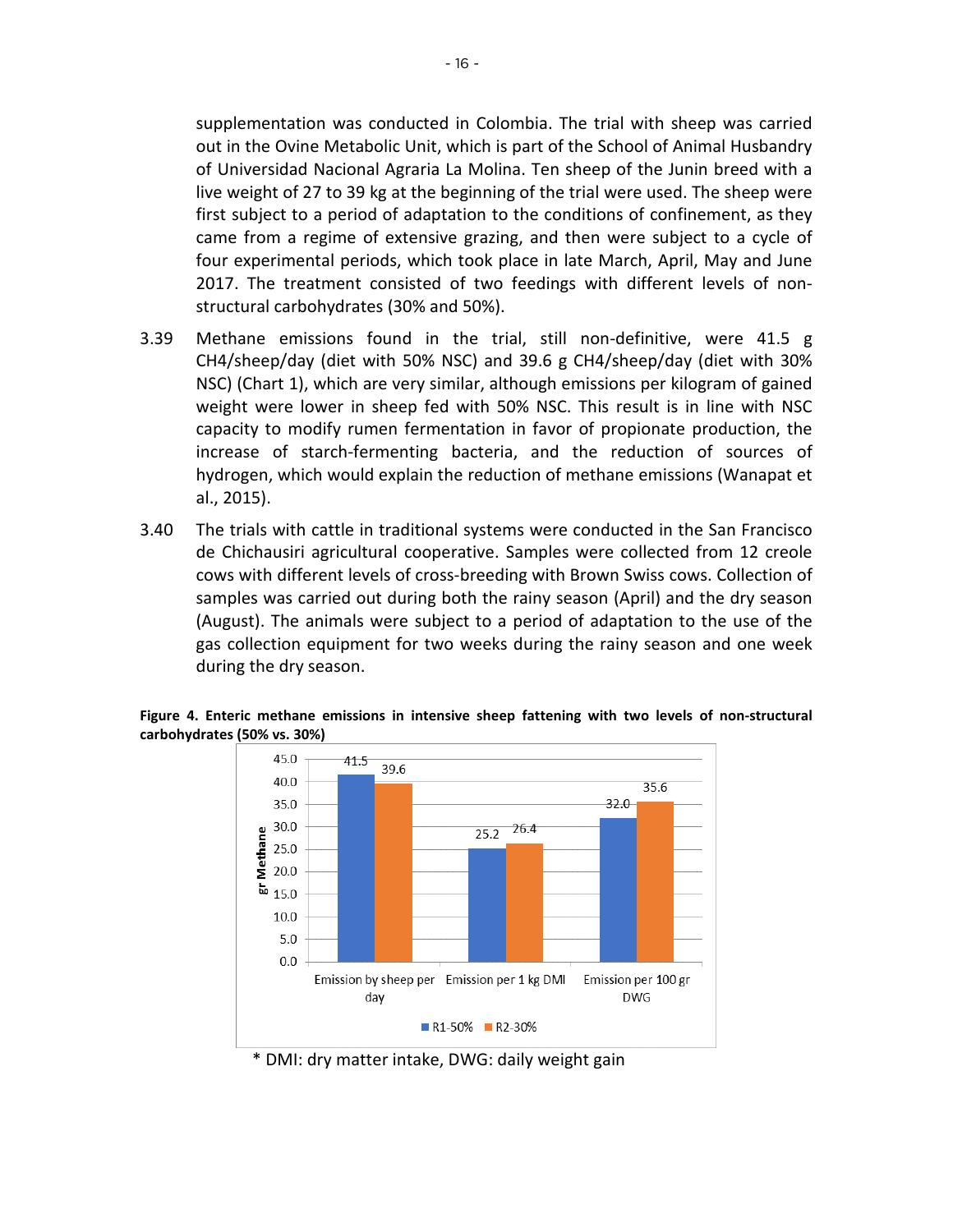supplementation was conducted in Colombia. The trial with sheep was carried out in the Ovine Metabolic Unit, which is part of the School of Animal Husbandry of Universidad Nacional Agraria La Molina. Ten sheep of the Junin breed with a live weight of 27 to 39 kg at the beginning of the trial were used. The sheep were first subject to a period of adaptation to the conditions of confinement, as they came from a regime of extensive grazing, and then were subject to a cycle of four experimental periods, which took place in late March, April, May and June 2017. The treatment consisted of two feedings with different levels of nonstructural carbohydrates (30% and 50%).

- 3.39 Methane emissions found in the trial, still non-definitive, were 41.5 g CH4/sheep/day (diet with 50% NSC) and 39.6 g CH4/sheep/day (diet with 30% NSC) (Chart 1), which are very similar, although emissions per kilogram of gained weight were lower in sheep fed with 50% NSC. This result is in line with NSC capacity to modify rumen fermentation in favor of propionate production, the increase of starch-fermenting bacteria, and the reduction of sources of hydrogen, which would explain the reduction of methane emissions (Wanapat et al., 2015).
- 3.40 The trials with cattle in traditional systems were conducted in the San Francisco de Chichausiri agricultural cooperative. Samples were collected from 12 creole cows with different levels of cross-breeding with Brown Swiss cows. Collection of samples was carried out during both the rainy season (April) and the dry season (August). The animals were subject to a period of adaptation to the use of the gas collection equipment for two weeks during the rainy season and one week during the dry season.



**Figure 4. Enteric methane emissions in intensive sheep fattening with two levels of non-structural carbohydrates (50% vs. 30%)**

\* DMI: dry matter intake, DWG: daily weight gain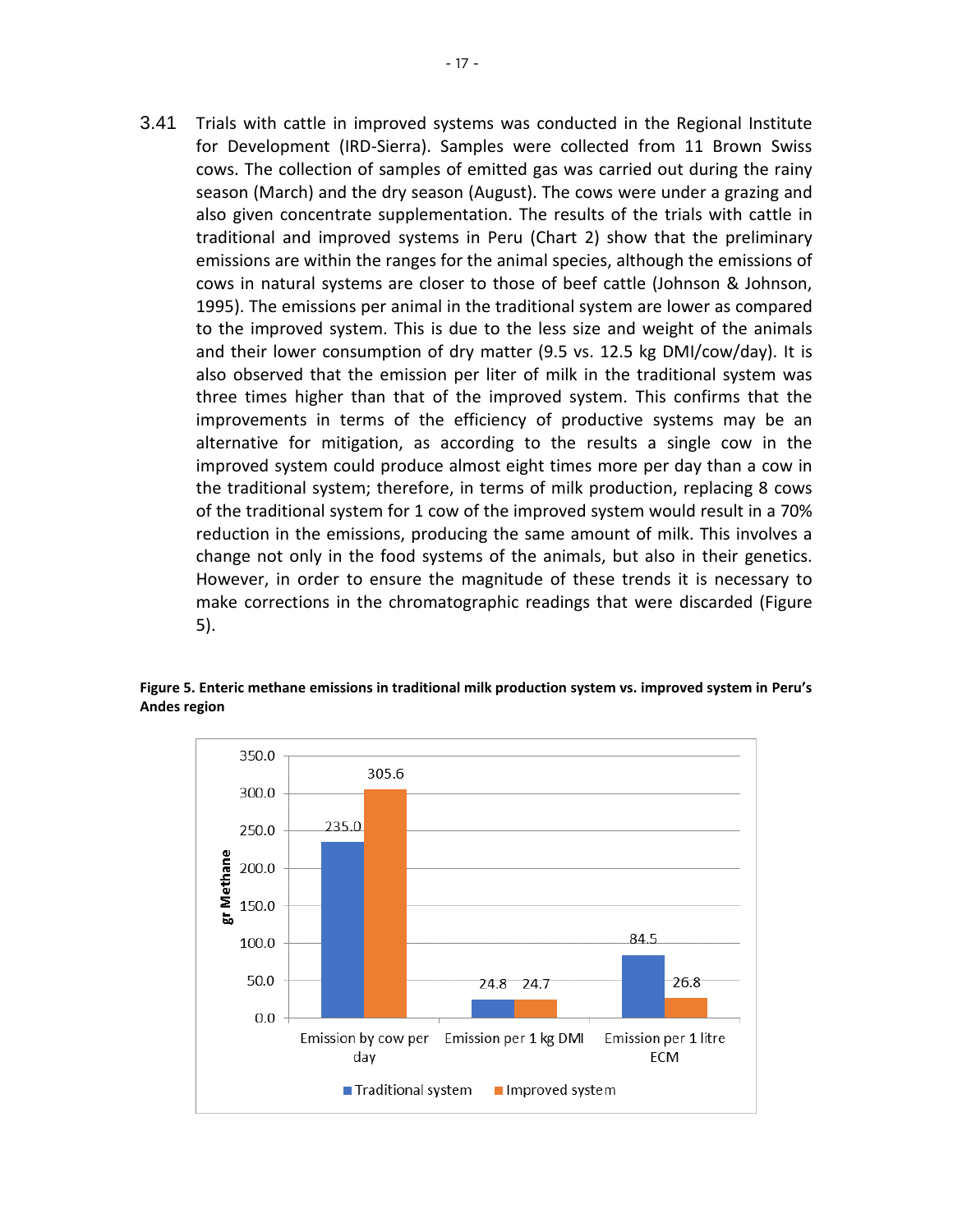3.41 Trials with cattle in improved systems was conducted in the Regional Institute for Development (IRD-Sierra). Samples were collected from 11 Brown Swiss cows. The collection of samples of emitted gas was carried out during the rainy season (March) and the dry season (August). The cows were under a grazing and also given concentrate supplementation. The results of the trials with cattle in traditional and improved systems in Peru (Chart 2) show that the preliminary emissions are within the ranges for the animal species, although the emissions of cows in natural systems are closer to those of beef cattle (Johnson & Johnson, 1995). The emissions per animal in the traditional system are lower as compared to the improved system. This is due to the less size and weight of the animals and their lower consumption of dry matter (9.5 vs. 12.5 kg DMI/cow/day). It is also observed that the emission per liter of milk in the traditional system was three times higher than that of the improved system. This confirms that the improvements in terms of the efficiency of productive systems may be an alternative for mitigation, as according to the results a single cow in the improved system could produce almost eight times more per day than a cow in the traditional system; therefore, in terms of milk production, replacing 8 cows of the traditional system for 1 cow of the improved system would result in a 70% reduction in the emissions, producing the same amount of milk. This involves a change not only in the food systems of the animals, but also in their genetics. However, in order to ensure the magnitude of these trends it is necessary to make corrections in the chromatographic readings that were discarded [\(Figure](#page-22-0)  [5\)](#page-22-0).



<span id="page-22-0"></span>**Figure 5. Enteric methane emissions in traditional milk production system vs. improved system in Peru's Andes region**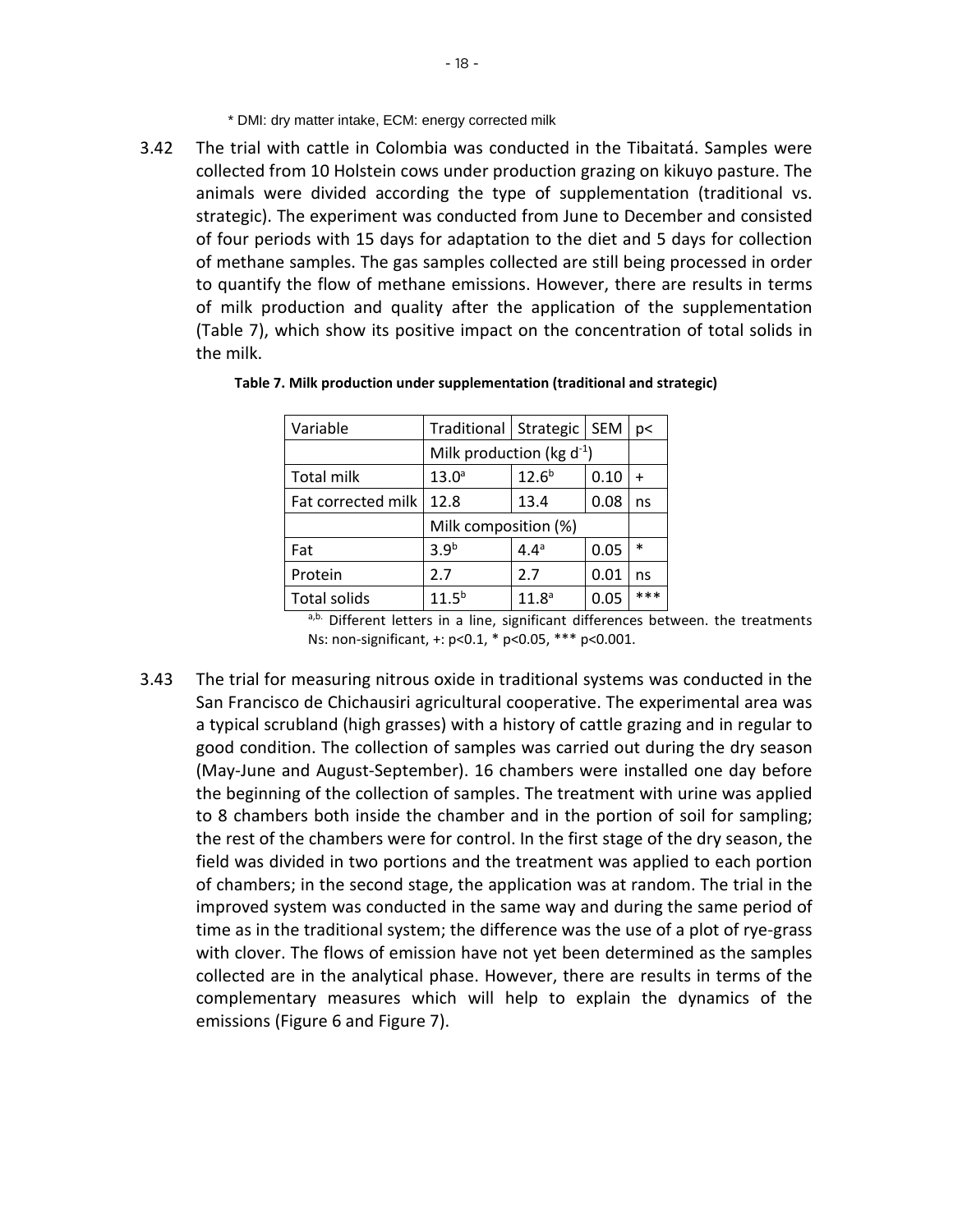- \* DMI: dry matter intake, ECM: energy corrected milk
- 3.42 The trial with cattle in Colombia was conducted in the Tibaitatá. Samples were collected from 10 Holstein cows under production grazing on kikuyo pasture. The animals were divided according the type of supplementation (traditional vs. strategic). The experiment was conducted from June to December and consisted of four periods with 15 days for adaptation to the diet and 5 days for collection of methane samples. The gas samples collected are still being processed in order to quantify the flow of methane emissions. However, there are results in terms of milk production and quality after the application of the supplementation [\(Table 7\)](#page-23-0), which show its positive impact on the concentration of total solids in the milk.

| Variable            | Traditional   Strategic   SEM  |                  |      | p<     |
|---------------------|--------------------------------|------------------|------|--------|
|                     | Milk production (kg $d^{-1}$ ) |                  |      |        |
| <b>Total milk</b>   | 13.0 <sup>a</sup>              | $12.6^{b}$       | 0.10 |        |
| Fat corrected milk  | 12.8                           | 13.4             | 0.08 | ns     |
|                     | Milk composition (%)           |                  |      |        |
| Fat                 | 3.9 <sup>b</sup>               | 4.4 <sup>a</sup> | 0.05 | $\ast$ |
| Protein             | 2.7                            | 2.7              | 0.01 | ns     |
| <b>Total solids</b> | $11.5^{b}$                     | $11.8^a$         | 0.05 | ***    |

#### <span id="page-23-0"></span>**Table 7. Milk production under supplementation (traditional and strategic)**

a,b. Different letters in a line, significant differences between. the treatments Ns: non-significant, +: p<0.1, \* p<0.05, \*\*\* p<0.001.

3.43 The trial for measuring nitrous oxide in traditional systems was conducted in the San Francisco de Chichausiri agricultural cooperative. The experimental area was a typical scrubland (high grasses) with a history of cattle grazing and in regular to good condition. The collection of samples was carried out during the dry season (May-June and August-September). 16 chambers were installed one day before the beginning of the collection of samples. The treatment with urine was applied to 8 chambers both inside the chamber and in the portion of soil for sampling; the rest of the chambers were for control. In the first stage of the dry season, the field was divided in two portions and the treatment was applied to each portion of chambers; in the second stage, the application was at random. The trial in the improved system was conducted in the same way and during the same period of time as in the traditional system; the difference was the use of a plot of rye-grass with clover. The flows of emission have not yet been determined as the samples collected are in the analytical phase. However, there are results in terms of the complementary measures which will help to explain the dynamics of the emissions [\(Figure 6](#page-24-0) and [Figure 7\)](#page-24-1).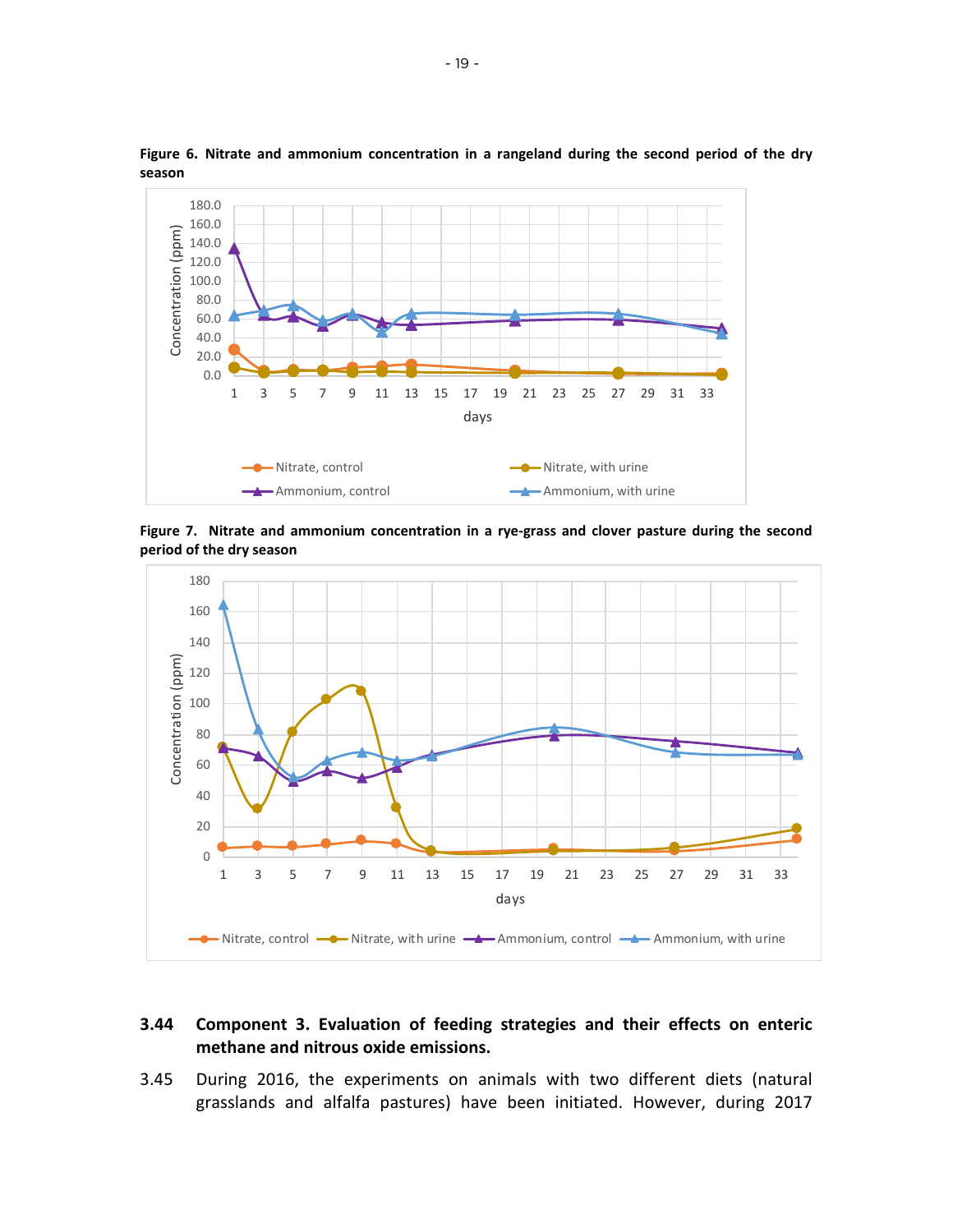

<span id="page-24-0"></span>**Figure 6. Nitrate and ammonium concentration in a rangeland during the second period of the dry season**

<span id="page-24-1"></span>**Figure 7. Nitrate and ammonium concentration in a rye-grass and clover pasture during the second period of the dry season**



### **3.44 Component 3. Evaluation of feeding strategies and their effects on enteric methane and nitrous oxide emissions.**

3.45 During 2016, the experiments on animals with two different diets (natural grasslands and alfalfa pastures) have been initiated. However, during 2017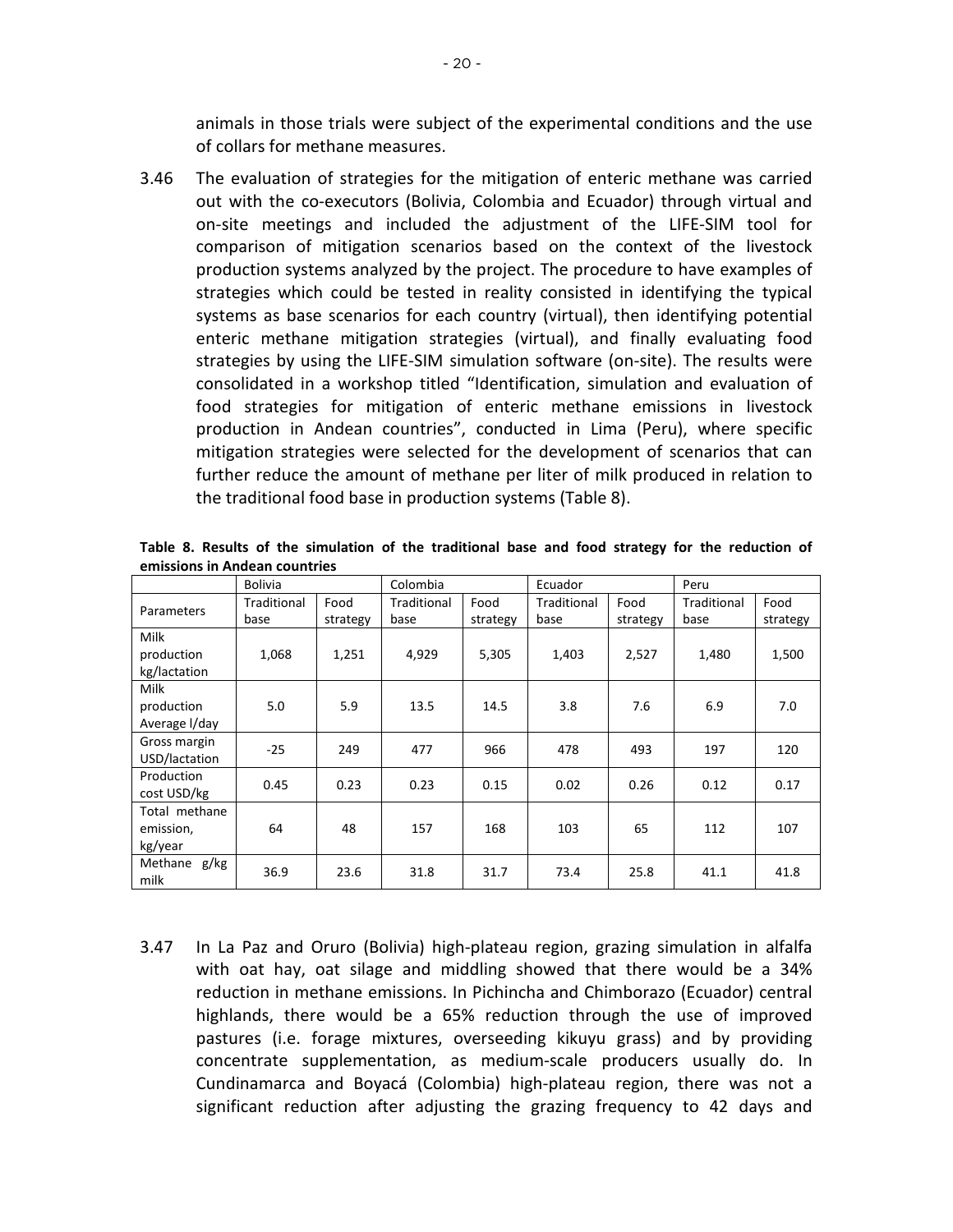animals in those trials were subject of the experimental conditions and the use of collars for methane measures.

3.46 The evaluation of strategies for the mitigation of enteric methane was carried out with the co-executors (Bolivia, Colombia and Ecuador) through virtual and on-site meetings and included the adjustment of the LIFE-SIM tool for comparison of mitigation scenarios based on the context of the livestock production systems analyzed by the project. The procedure to have examples of strategies which could be tested in reality consisted in identifying the typical systems as base scenarios for each country (virtual), then identifying potential enteric methane mitigation strategies (virtual), and finally evaluating food strategies by using the LIFE-SIM simulation software (on-site). The results were consolidated in a workshop titled "Identification, simulation and evaluation of food strategies for mitigation of enteric methane emissions in livestock production in Andean countries", conducted in Lima (Peru), where specific mitigation strategies were selected for the development of scenarios that can further reduce the amount of methane per liter of milk produced in relation to the traditional food base in production systems [\(Table 8\)](#page-25-0).

|                         | <b>Bolivia</b> |          | Colombia    |          | Ecuador     |          | Peru        |          |
|-------------------------|----------------|----------|-------------|----------|-------------|----------|-------------|----------|
| Parameters              | Traditional    | Food     | Traditional | Food     | Traditional | Food     | Traditional | Food     |
|                         | base           | strategy | base        | strategy | base        | strategy | base        | strategy |
| Milk                    |                |          |             |          |             |          |             |          |
| production              | 1,068          | 1,251    | 4,929       | 5,305    | 1,403       | 2,527    | 1,480       | 1,500    |
| kg/lactation            |                |          |             |          |             |          |             |          |
| Milk                    |                |          |             |          |             |          |             |          |
| production              | 5.0            | 5.9      | 13.5        | 14.5     | 3.8         | 7.6      | 6.9         | 7.0      |
| Average I/day           |                |          |             |          |             |          |             |          |
| Gross margin            | $-25$          | 249      | 477         | 966      | 478         | 493      | 197         | 120      |
| USD/lactation           |                |          |             |          |             |          |             |          |
| Production              | 0.45           | 0.23     | 0.23        | 0.15     | 0.02        | 0.26     | 0.12        | 0.17     |
| cost USD/kg             |                |          |             |          |             |          |             |          |
| Total methane           |                |          |             |          |             |          |             |          |
| emission,               | 64             | 48       | 157         | 168      | 103         | 65       | 112         | 107      |
| kg/year                 |                |          |             |          |             |          |             |          |
| g/kg<br>Methane<br>milk | 36.9           | 23.6     | 31.8        | 31.7     | 73.4        | 25.8     | 41.1        | 41.8     |

<span id="page-25-0"></span>**Table 8. Results of the simulation of the traditional base and food strategy for the reduction of emissions in Andean countries**

3.47 In La Paz and Oruro (Bolivia) high-plateau region, grazing simulation in alfalfa with oat hay, oat silage and middling showed that there would be a 34% reduction in methane emissions. In Pichincha and Chimborazo (Ecuador) central highlands, there would be a 65% reduction through the use of improved pastures (i.e. forage mixtures, overseeding kikuyu grass) and by providing concentrate supplementation, as medium-scale producers usually do. In Cundinamarca and Boyacá (Colombia) high-plateau region, there was not a significant reduction after adjusting the grazing frequency to 42 days and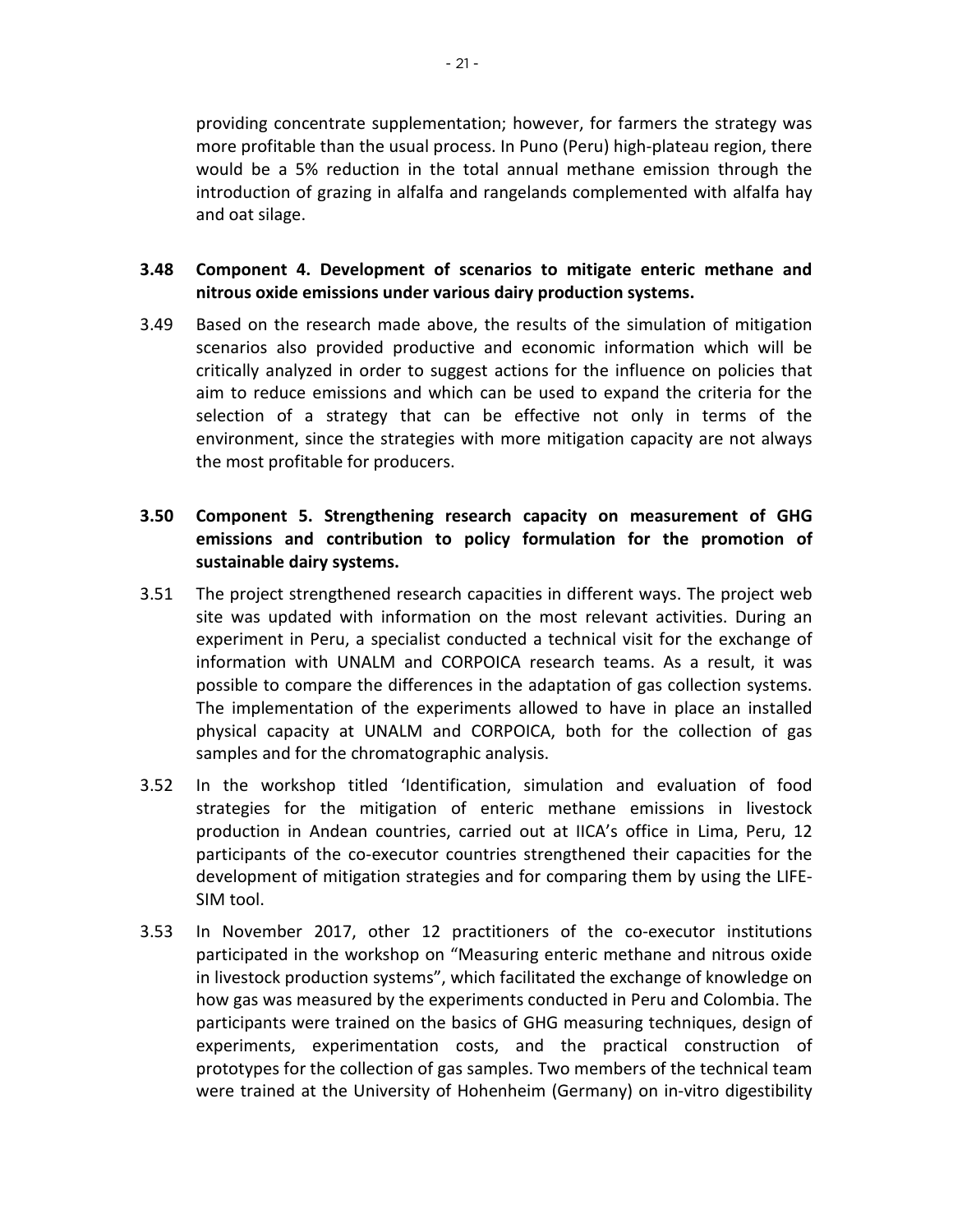providing concentrate supplementation; however, for farmers the strategy was more profitable than the usual process. In Puno (Peru) high-plateau region, there would be a 5% reduction in the total annual methane emission through the introduction of grazing in alfalfa and rangelands complemented with alfalfa hay and oat silage.

## **3.48 Component 4. Development of scenarios to mitigate enteric methane and nitrous oxide emissions under various dairy production systems.**

3.49 Based on the research made above, the results of the simulation of mitigation scenarios also provided productive and economic information which will be critically analyzed in order to suggest actions for the influence on policies that aim to reduce emissions and which can be used to expand the criteria for the selection of a strategy that can be effective not only in terms of the environment, since the strategies with more mitigation capacity are not always the most profitable for producers.

## **3.50 Component 5. Strengthening research capacity on measurement of GHG emissions and contribution to policy formulation for the promotion of sustainable dairy systems.**

- 3.51 The project strengthened research capacities in different ways. The project web site was updated with information on the most relevant activities. During an experiment in Peru, a specialist conducted a technical visit for the exchange of information with UNALM and CORPOICA research teams. As a result, it was possible to compare the differences in the adaptation of gas collection systems. The implementation of the experiments allowed to have in place an installed physical capacity at UNALM and CORPOICA, both for the collection of gas samples and for the chromatographic analysis.
- 3.52 In the workshop titled 'Identification, simulation and evaluation of food strategies for the mitigation of enteric methane emissions in livestock production in Andean countries, carried out at IICA's office in Lima, Peru, 12 participants of the co-executor countries strengthened their capacities for the development of mitigation strategies and for comparing them by using the LIFE-SIM tool.
- 3.53 In November 2017, other 12 practitioners of the co-executor institutions participated in the workshop on "Measuring enteric methane and nitrous oxide in livestock production systems", which facilitated the exchange of knowledge on how gas was measured by the experiments conducted in Peru and Colombia. The participants were trained on the basics of GHG measuring techniques, design of experiments, experimentation costs, and the practical construction of prototypes for the collection of gas samples. Two members of the technical team were trained at the University of Hohenheim (Germany) on in-vitro digestibility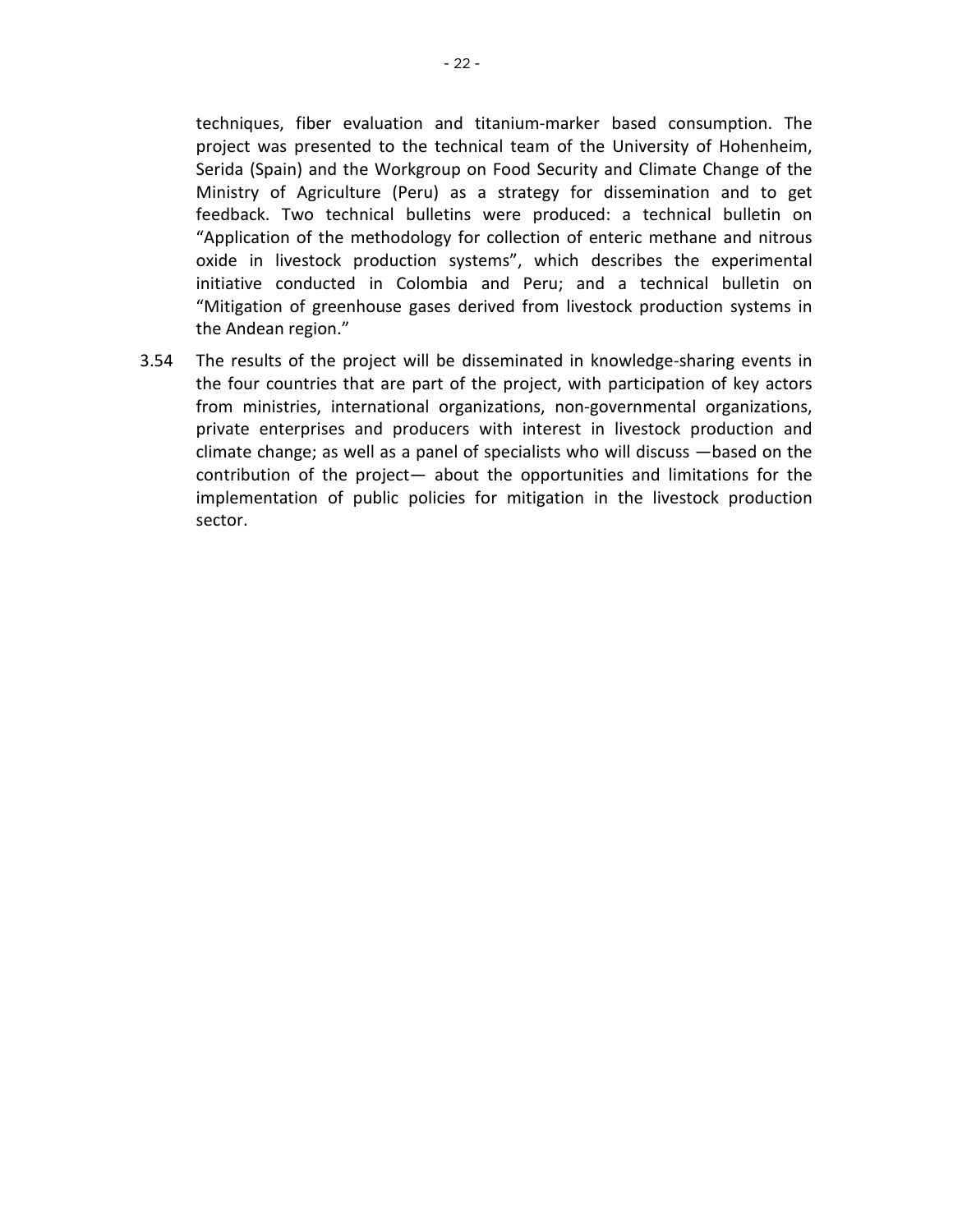techniques, fiber evaluation and titanium-marker based consumption. The project was presented to the technical team of the University of Hohenheim, Serida (Spain) and the Workgroup on Food Security and Climate Change of the Ministry of Agriculture (Peru) as a strategy for dissemination and to get feedback. Two technical bulletins were produced: a technical bulletin on "Application of the methodology for collection of enteric methane and nitrous oxide in livestock production systems", which describes the experimental initiative conducted in Colombia and Peru; and a technical bulletin on "Mitigation of greenhouse gases derived from livestock production systems in the Andean region."

3.54 The results of the project will be disseminated in knowledge-sharing events in the four countries that are part of the project, with participation of key actors from ministries, international organizations, non-governmental organizations, private enterprises and producers with interest in livestock production and climate change; as well as a panel of specialists who will discuss —based on the contribution of the project— about the opportunities and limitations for the implementation of public policies for mitigation in the livestock production sector.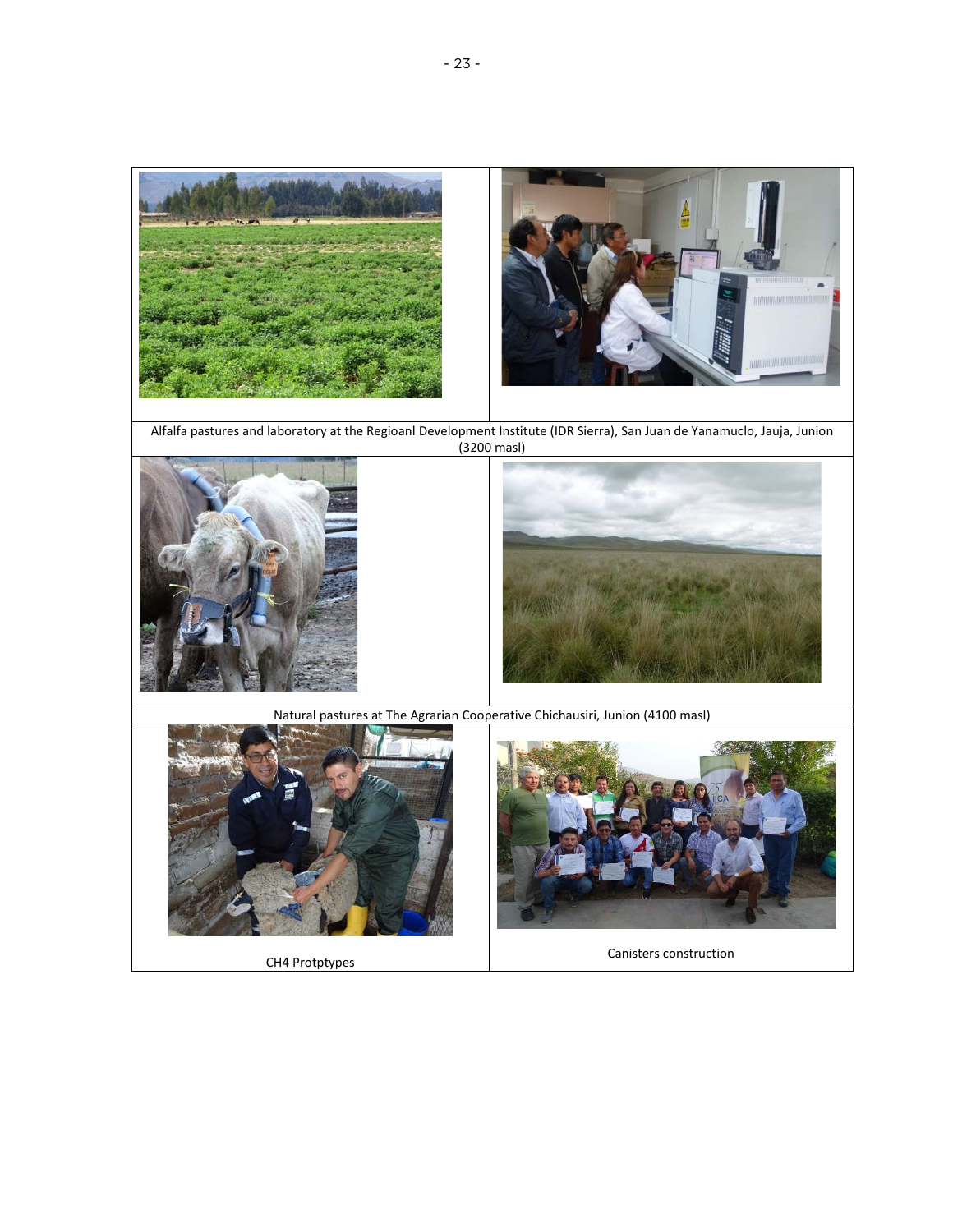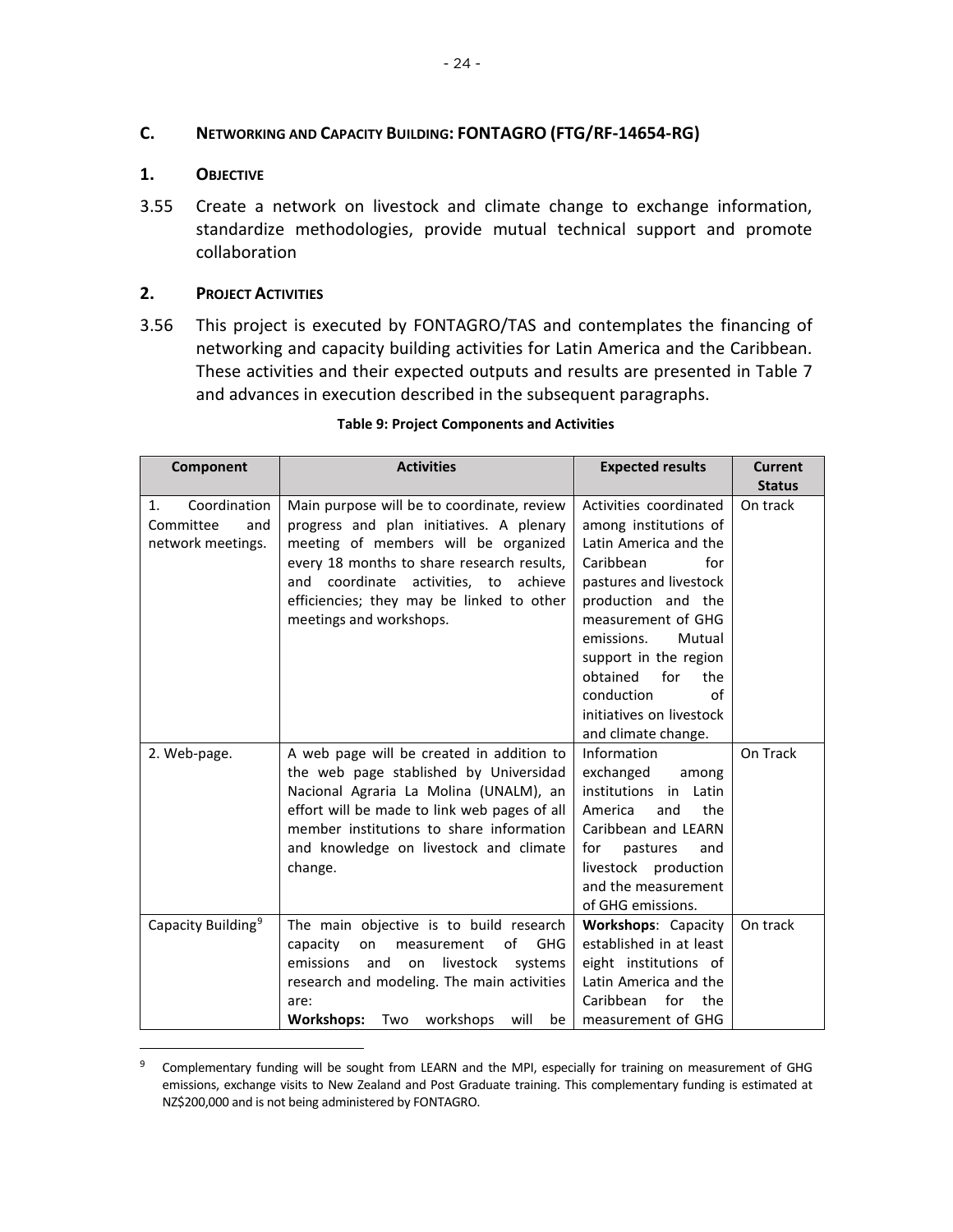# <span id="page-29-0"></span>**1. OBJECTIVE**

3.55 Create a network on livestock and climate change to exchange information, standardize methodologies, provide mutual technical support and promote collaboration

### **2. PROJECT ACTIVITIES**

3.56 This project is executed by FONTAGRO/TAS and contemplates the financing of networking and capacity building activities for Latin America and the Caribbean. These activities and their expected outputs and results are presented in Table 7 and advances in execution described in the subsequent paragraphs.

| Component                                                   | <b>Activities</b>                                                                                                                                                                                                                                                                                   | <b>Expected results</b>                                                                                                                                                                                                                                           | <b>Current</b> |
|-------------------------------------------------------------|-----------------------------------------------------------------------------------------------------------------------------------------------------------------------------------------------------------------------------------------------------------------------------------------------------|-------------------------------------------------------------------------------------------------------------------------------------------------------------------------------------------------------------------------------------------------------------------|----------------|
|                                                             |                                                                                                                                                                                                                                                                                                     |                                                                                                                                                                                                                                                                   | <b>Status</b>  |
| Coordination<br>1.<br>Committee<br>and<br>network meetings. | Main purpose will be to coordinate, review<br>progress and plan initiatives. A plenary<br>meeting of members will be organized<br>every 18 months to share research results,<br>coordinate<br>activities, to achieve<br>and<br>efficiencies; they may be linked to other<br>meetings and workshops. | Activities coordinated<br>among institutions of<br>Latin America and the<br>Caribbean<br>for<br>pastures and livestock<br>production and the<br>measurement of GHG<br>emissions.<br>Mutual<br>support in the region<br>obtained<br>for<br>the<br>conduction<br>of | On track       |
|                                                             |                                                                                                                                                                                                                                                                                                     | initiatives on livestock                                                                                                                                                                                                                                          |                |
|                                                             |                                                                                                                                                                                                                                                                                                     | and climate change.                                                                                                                                                                                                                                               |                |
| 2. Web-page.                                                | A web page will be created in addition to<br>the web page stablished by Universidad<br>Nacional Agraria La Molina (UNALM), an<br>effort will be made to link web pages of all<br>member institutions to share information<br>and knowledge on livestock and climate<br>change.                      | Information<br>exchanged<br>among<br>institutions in Latin<br>the<br>America<br>and<br>Caribbean and LEARN<br>for<br>pastures<br>and<br>livestock production<br>and the measurement<br>of GHG emissions.                                                          | On Track       |
| Capacity Building <sup>9</sup>                              | The main objective is to build research<br>capacity<br>on<br>measurement<br>of<br>GHG<br>emissions<br>livestock<br>and<br>on<br>systems<br>research and modeling. The main activities<br>are:<br><b>Workshops:</b><br>workshops<br>Two<br>will<br>be                                                | <b>Workshops: Capacity</b><br>established in at least<br>eight institutions of<br>Latin America and the<br>Caribbean<br>for<br>the<br>measurement of GHG                                                                                                          | On track       |

#### **Table 9: Project Components and Activities**

<span id="page-29-1"></span><sup>&</sup>lt;sup>9</sup> Complementary funding will be sought from LEARN and the MPI, especially for training on measurement of GHG emissions, exchange visits to New Zealand and Post Graduate training. This complementary funding is estimated at NZ\$200,000 and is not being administered by FONTAGRO.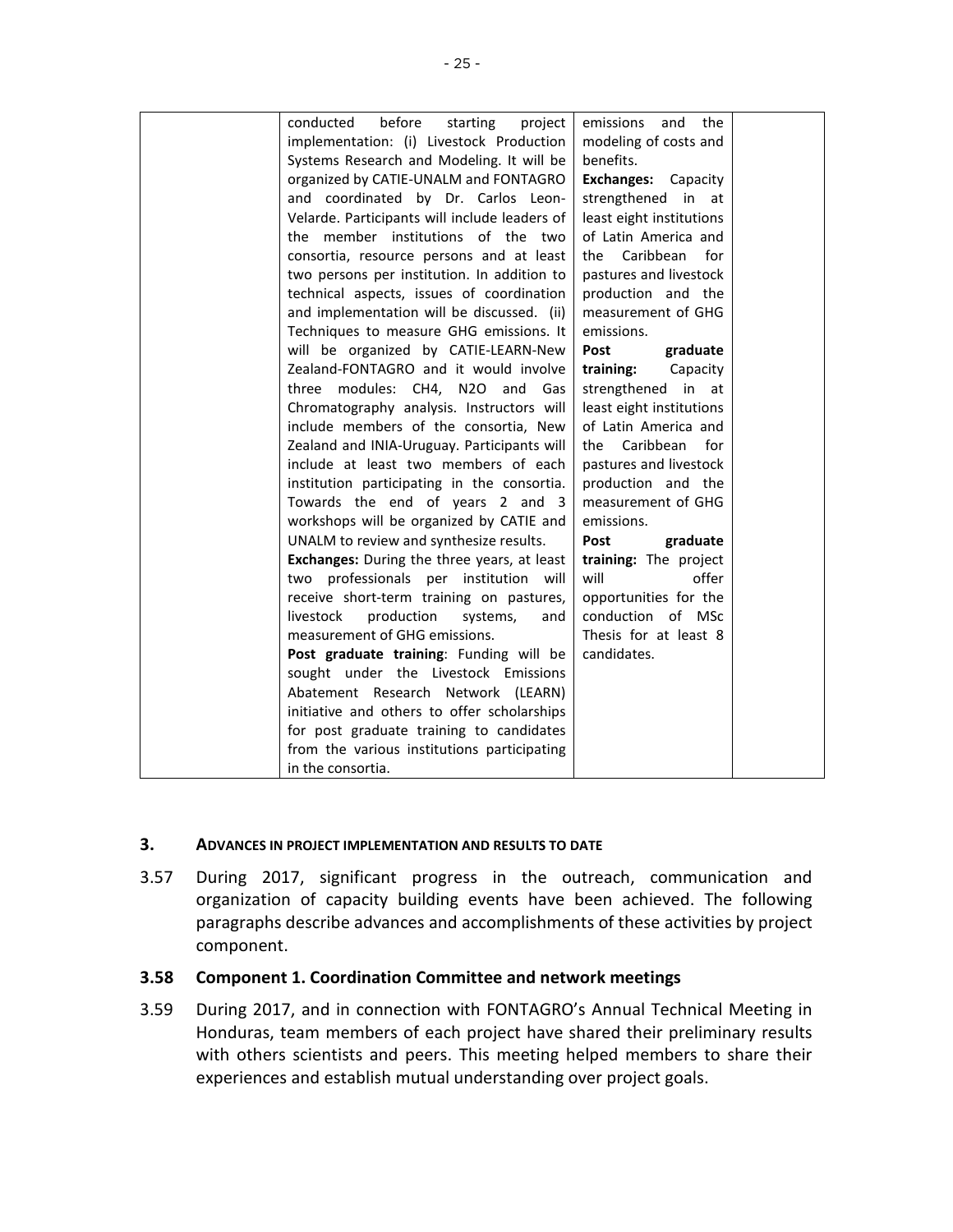| before<br>conducted<br>project<br>emissions<br>the<br>starting<br>and<br>implementation: (i) Livestock Production<br>modeling of costs and<br>Systems Research and Modeling. It will be<br>benefits.<br>organized by CATIE-UNALM and FONTAGRO<br><b>Exchanges: Capacity</b><br>and coordinated by Dr. Carlos Leon-<br>strengthened in at<br>Velarde. Participants will include leaders of<br>least eight institutions<br>the member institutions of the two<br>of Latin America and<br>Caribbean<br>consortia, resource persons and at least<br>for<br>the<br>two persons per institution. In addition to<br>pastures and livestock<br>technical aspects, issues of coordination<br>production and the<br>measurement of GHG<br>and implementation will be discussed. (ii)<br>Techniques to measure GHG emissions. It<br>emissions.<br>will be organized by CATIE-LEARN-New<br>Post<br>graduate<br>Zealand-FONTAGRO and it would involve<br>training:<br>Capacity<br>modules: CH4, N2O and<br>Gas<br>strengthened in at<br>three<br>Chromatography analysis. Instructors will<br>least eight institutions<br>include members of the consortia, New<br>of Latin America and<br>Caribbean<br>Zealand and INIA-Uruguay. Participants will<br>the<br>for<br>include at least two members of each<br>pastures and livestock<br>institution participating in the consortia.<br>production and the<br>Towards the end of years 2 and 3<br>measurement of GHG<br>workshops will be organized by CATIE and<br>emissions.<br>UNALM to review and synthesize results.<br>graduate<br>Post<br>Exchanges: During the three years, at least<br>training: The project<br>offer<br>professionals per institution will<br>will<br>two<br>receive short-term training on pastures,<br>opportunities for the<br>conduction of MSc<br>livestock<br>production<br>systems,<br>and<br>measurement of GHG emissions.<br>Thesis for at least 8<br>candidates.<br>Post graduate training: Funding will be<br>sought under the Livestock Emissions<br>Abatement Research Network (LEARN)<br>initiative and others to offer scholarships<br>for post graduate training to candidates<br>from the various institutions participating<br>in the consortia. |  |  |
|-------------------------------------------------------------------------------------------------------------------------------------------------------------------------------------------------------------------------------------------------------------------------------------------------------------------------------------------------------------------------------------------------------------------------------------------------------------------------------------------------------------------------------------------------------------------------------------------------------------------------------------------------------------------------------------------------------------------------------------------------------------------------------------------------------------------------------------------------------------------------------------------------------------------------------------------------------------------------------------------------------------------------------------------------------------------------------------------------------------------------------------------------------------------------------------------------------------------------------------------------------------------------------------------------------------------------------------------------------------------------------------------------------------------------------------------------------------------------------------------------------------------------------------------------------------------------------------------------------------------------------------------------------------------------------------------------------------------------------------------------------------------------------------------------------------------------------------------------------------------------------------------------------------------------------------------------------------------------------------------------------------------------------------------------------------------------------------------------------------------------------------------------------------------------------------------------------------------------------|--|--|
|                                                                                                                                                                                                                                                                                                                                                                                                                                                                                                                                                                                                                                                                                                                                                                                                                                                                                                                                                                                                                                                                                                                                                                                                                                                                                                                                                                                                                                                                                                                                                                                                                                                                                                                                                                                                                                                                                                                                                                                                                                                                                                                                                                                                                               |  |  |
|                                                                                                                                                                                                                                                                                                                                                                                                                                                                                                                                                                                                                                                                                                                                                                                                                                                                                                                                                                                                                                                                                                                                                                                                                                                                                                                                                                                                                                                                                                                                                                                                                                                                                                                                                                                                                                                                                                                                                                                                                                                                                                                                                                                                                               |  |  |
|                                                                                                                                                                                                                                                                                                                                                                                                                                                                                                                                                                                                                                                                                                                                                                                                                                                                                                                                                                                                                                                                                                                                                                                                                                                                                                                                                                                                                                                                                                                                                                                                                                                                                                                                                                                                                                                                                                                                                                                                                                                                                                                                                                                                                               |  |  |
|                                                                                                                                                                                                                                                                                                                                                                                                                                                                                                                                                                                                                                                                                                                                                                                                                                                                                                                                                                                                                                                                                                                                                                                                                                                                                                                                                                                                                                                                                                                                                                                                                                                                                                                                                                                                                                                                                                                                                                                                                                                                                                                                                                                                                               |  |  |
|                                                                                                                                                                                                                                                                                                                                                                                                                                                                                                                                                                                                                                                                                                                                                                                                                                                                                                                                                                                                                                                                                                                                                                                                                                                                                                                                                                                                                                                                                                                                                                                                                                                                                                                                                                                                                                                                                                                                                                                                                                                                                                                                                                                                                               |  |  |
|                                                                                                                                                                                                                                                                                                                                                                                                                                                                                                                                                                                                                                                                                                                                                                                                                                                                                                                                                                                                                                                                                                                                                                                                                                                                                                                                                                                                                                                                                                                                                                                                                                                                                                                                                                                                                                                                                                                                                                                                                                                                                                                                                                                                                               |  |  |
|                                                                                                                                                                                                                                                                                                                                                                                                                                                                                                                                                                                                                                                                                                                                                                                                                                                                                                                                                                                                                                                                                                                                                                                                                                                                                                                                                                                                                                                                                                                                                                                                                                                                                                                                                                                                                                                                                                                                                                                                                                                                                                                                                                                                                               |  |  |
|                                                                                                                                                                                                                                                                                                                                                                                                                                                                                                                                                                                                                                                                                                                                                                                                                                                                                                                                                                                                                                                                                                                                                                                                                                                                                                                                                                                                                                                                                                                                                                                                                                                                                                                                                                                                                                                                                                                                                                                                                                                                                                                                                                                                                               |  |  |
|                                                                                                                                                                                                                                                                                                                                                                                                                                                                                                                                                                                                                                                                                                                                                                                                                                                                                                                                                                                                                                                                                                                                                                                                                                                                                                                                                                                                                                                                                                                                                                                                                                                                                                                                                                                                                                                                                                                                                                                                                                                                                                                                                                                                                               |  |  |
|                                                                                                                                                                                                                                                                                                                                                                                                                                                                                                                                                                                                                                                                                                                                                                                                                                                                                                                                                                                                                                                                                                                                                                                                                                                                                                                                                                                                                                                                                                                                                                                                                                                                                                                                                                                                                                                                                                                                                                                                                                                                                                                                                                                                                               |  |  |
|                                                                                                                                                                                                                                                                                                                                                                                                                                                                                                                                                                                                                                                                                                                                                                                                                                                                                                                                                                                                                                                                                                                                                                                                                                                                                                                                                                                                                                                                                                                                                                                                                                                                                                                                                                                                                                                                                                                                                                                                                                                                                                                                                                                                                               |  |  |
|                                                                                                                                                                                                                                                                                                                                                                                                                                                                                                                                                                                                                                                                                                                                                                                                                                                                                                                                                                                                                                                                                                                                                                                                                                                                                                                                                                                                                                                                                                                                                                                                                                                                                                                                                                                                                                                                                                                                                                                                                                                                                                                                                                                                                               |  |  |
|                                                                                                                                                                                                                                                                                                                                                                                                                                                                                                                                                                                                                                                                                                                                                                                                                                                                                                                                                                                                                                                                                                                                                                                                                                                                                                                                                                                                                                                                                                                                                                                                                                                                                                                                                                                                                                                                                                                                                                                                                                                                                                                                                                                                                               |  |  |
|                                                                                                                                                                                                                                                                                                                                                                                                                                                                                                                                                                                                                                                                                                                                                                                                                                                                                                                                                                                                                                                                                                                                                                                                                                                                                                                                                                                                                                                                                                                                                                                                                                                                                                                                                                                                                                                                                                                                                                                                                                                                                                                                                                                                                               |  |  |
|                                                                                                                                                                                                                                                                                                                                                                                                                                                                                                                                                                                                                                                                                                                                                                                                                                                                                                                                                                                                                                                                                                                                                                                                                                                                                                                                                                                                                                                                                                                                                                                                                                                                                                                                                                                                                                                                                                                                                                                                                                                                                                                                                                                                                               |  |  |
|                                                                                                                                                                                                                                                                                                                                                                                                                                                                                                                                                                                                                                                                                                                                                                                                                                                                                                                                                                                                                                                                                                                                                                                                                                                                                                                                                                                                                                                                                                                                                                                                                                                                                                                                                                                                                                                                                                                                                                                                                                                                                                                                                                                                                               |  |  |
|                                                                                                                                                                                                                                                                                                                                                                                                                                                                                                                                                                                                                                                                                                                                                                                                                                                                                                                                                                                                                                                                                                                                                                                                                                                                                                                                                                                                                                                                                                                                                                                                                                                                                                                                                                                                                                                                                                                                                                                                                                                                                                                                                                                                                               |  |  |
|                                                                                                                                                                                                                                                                                                                                                                                                                                                                                                                                                                                                                                                                                                                                                                                                                                                                                                                                                                                                                                                                                                                                                                                                                                                                                                                                                                                                                                                                                                                                                                                                                                                                                                                                                                                                                                                                                                                                                                                                                                                                                                                                                                                                                               |  |  |
|                                                                                                                                                                                                                                                                                                                                                                                                                                                                                                                                                                                                                                                                                                                                                                                                                                                                                                                                                                                                                                                                                                                                                                                                                                                                                                                                                                                                                                                                                                                                                                                                                                                                                                                                                                                                                                                                                                                                                                                                                                                                                                                                                                                                                               |  |  |
|                                                                                                                                                                                                                                                                                                                                                                                                                                                                                                                                                                                                                                                                                                                                                                                                                                                                                                                                                                                                                                                                                                                                                                                                                                                                                                                                                                                                                                                                                                                                                                                                                                                                                                                                                                                                                                                                                                                                                                                                                                                                                                                                                                                                                               |  |  |
|                                                                                                                                                                                                                                                                                                                                                                                                                                                                                                                                                                                                                                                                                                                                                                                                                                                                                                                                                                                                                                                                                                                                                                                                                                                                                                                                                                                                                                                                                                                                                                                                                                                                                                                                                                                                                                                                                                                                                                                                                                                                                                                                                                                                                               |  |  |
|                                                                                                                                                                                                                                                                                                                                                                                                                                                                                                                                                                                                                                                                                                                                                                                                                                                                                                                                                                                                                                                                                                                                                                                                                                                                                                                                                                                                                                                                                                                                                                                                                                                                                                                                                                                                                                                                                                                                                                                                                                                                                                                                                                                                                               |  |  |
|                                                                                                                                                                                                                                                                                                                                                                                                                                                                                                                                                                                                                                                                                                                                                                                                                                                                                                                                                                                                                                                                                                                                                                                                                                                                                                                                                                                                                                                                                                                                                                                                                                                                                                                                                                                                                                                                                                                                                                                                                                                                                                                                                                                                                               |  |  |
|                                                                                                                                                                                                                                                                                                                                                                                                                                                                                                                                                                                                                                                                                                                                                                                                                                                                                                                                                                                                                                                                                                                                                                                                                                                                                                                                                                                                                                                                                                                                                                                                                                                                                                                                                                                                                                                                                                                                                                                                                                                                                                                                                                                                                               |  |  |
|                                                                                                                                                                                                                                                                                                                                                                                                                                                                                                                                                                                                                                                                                                                                                                                                                                                                                                                                                                                                                                                                                                                                                                                                                                                                                                                                                                                                                                                                                                                                                                                                                                                                                                                                                                                                                                                                                                                                                                                                                                                                                                                                                                                                                               |  |  |
|                                                                                                                                                                                                                                                                                                                                                                                                                                                                                                                                                                                                                                                                                                                                                                                                                                                                                                                                                                                                                                                                                                                                                                                                                                                                                                                                                                                                                                                                                                                                                                                                                                                                                                                                                                                                                                                                                                                                                                                                                                                                                                                                                                                                                               |  |  |
|                                                                                                                                                                                                                                                                                                                                                                                                                                                                                                                                                                                                                                                                                                                                                                                                                                                                                                                                                                                                                                                                                                                                                                                                                                                                                                                                                                                                                                                                                                                                                                                                                                                                                                                                                                                                                                                                                                                                                                                                                                                                                                                                                                                                                               |  |  |
|                                                                                                                                                                                                                                                                                                                                                                                                                                                                                                                                                                                                                                                                                                                                                                                                                                                                                                                                                                                                                                                                                                                                                                                                                                                                                                                                                                                                                                                                                                                                                                                                                                                                                                                                                                                                                                                                                                                                                                                                                                                                                                                                                                                                                               |  |  |
|                                                                                                                                                                                                                                                                                                                                                                                                                                                                                                                                                                                                                                                                                                                                                                                                                                                                                                                                                                                                                                                                                                                                                                                                                                                                                                                                                                                                                                                                                                                                                                                                                                                                                                                                                                                                                                                                                                                                                                                                                                                                                                                                                                                                                               |  |  |
|                                                                                                                                                                                                                                                                                                                                                                                                                                                                                                                                                                                                                                                                                                                                                                                                                                                                                                                                                                                                                                                                                                                                                                                                                                                                                                                                                                                                                                                                                                                                                                                                                                                                                                                                                                                                                                                                                                                                                                                                                                                                                                                                                                                                                               |  |  |
|                                                                                                                                                                                                                                                                                                                                                                                                                                                                                                                                                                                                                                                                                                                                                                                                                                                                                                                                                                                                                                                                                                                                                                                                                                                                                                                                                                                                                                                                                                                                                                                                                                                                                                                                                                                                                                                                                                                                                                                                                                                                                                                                                                                                                               |  |  |
|                                                                                                                                                                                                                                                                                                                                                                                                                                                                                                                                                                                                                                                                                                                                                                                                                                                                                                                                                                                                                                                                                                                                                                                                                                                                                                                                                                                                                                                                                                                                                                                                                                                                                                                                                                                                                                                                                                                                                                                                                                                                                                                                                                                                                               |  |  |
|                                                                                                                                                                                                                                                                                                                                                                                                                                                                                                                                                                                                                                                                                                                                                                                                                                                                                                                                                                                                                                                                                                                                                                                                                                                                                                                                                                                                                                                                                                                                                                                                                                                                                                                                                                                                                                                                                                                                                                                                                                                                                                                                                                                                                               |  |  |
|                                                                                                                                                                                                                                                                                                                                                                                                                                                                                                                                                                                                                                                                                                                                                                                                                                                                                                                                                                                                                                                                                                                                                                                                                                                                                                                                                                                                                                                                                                                                                                                                                                                                                                                                                                                                                                                                                                                                                                                                                                                                                                                                                                                                                               |  |  |
|                                                                                                                                                                                                                                                                                                                                                                                                                                                                                                                                                                                                                                                                                                                                                                                                                                                                                                                                                                                                                                                                                                                                                                                                                                                                                                                                                                                                                                                                                                                                                                                                                                                                                                                                                                                                                                                                                                                                                                                                                                                                                                                                                                                                                               |  |  |

#### **3. ADVANCES IN PROJECT IMPLEMENTATION AND RESULTS TO DATE**

3.57 During 2017, significant progress in the outreach, communication and organization of capacity building events have been achieved. The following paragraphs describe advances and accomplishments of these activities by project component.

### **3.58 Component 1. Coordination Committee and network meetings**

3.59 During 2017, and in connection with FONTAGRO's Annual Technical Meeting in Honduras, team members of each project have shared their preliminary results with others scientists and peers. This meeting helped members to share their experiences and establish mutual understanding over project goals.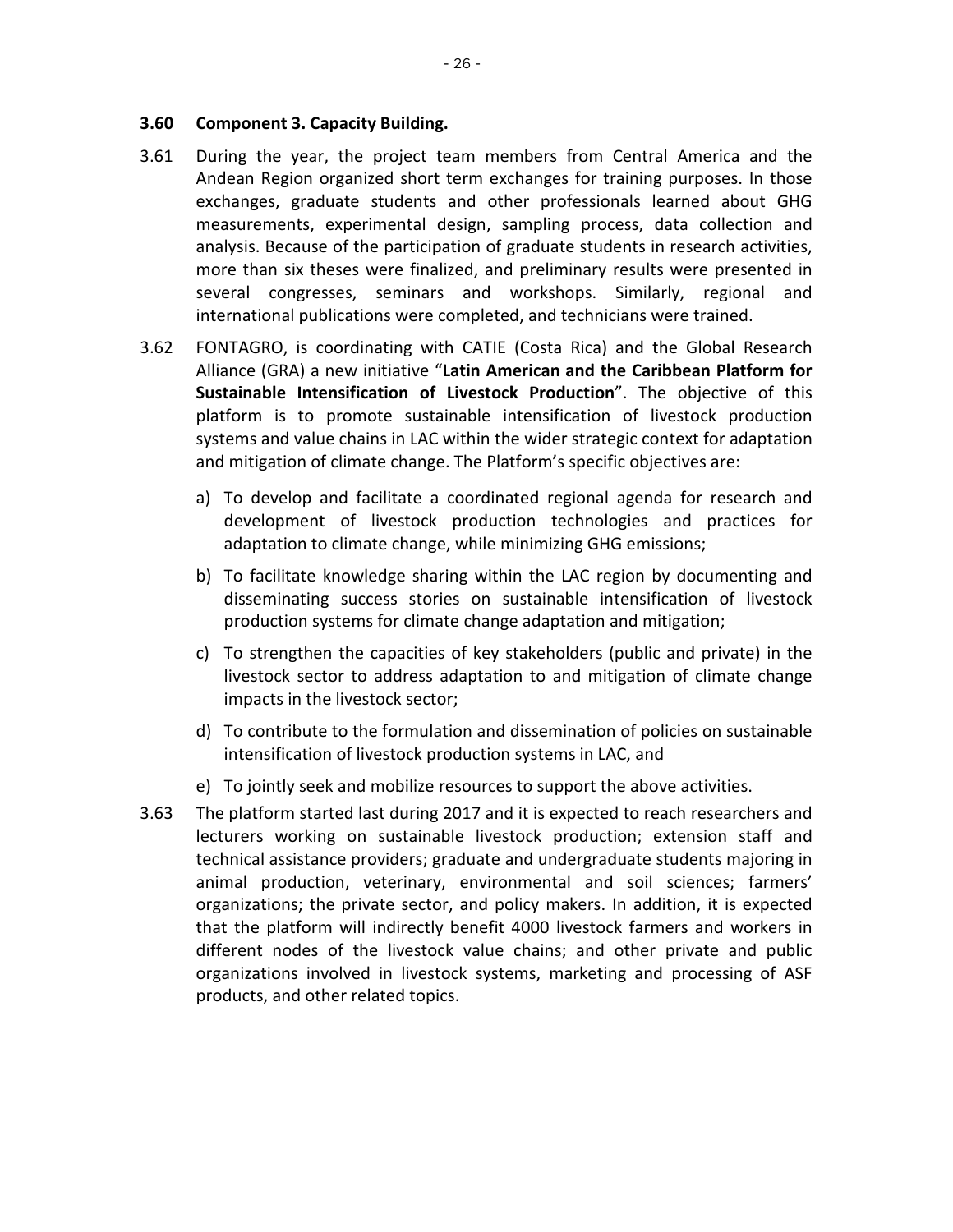#### **3.60 Component 3. Capacity Building.**

- 3.61 During the year, the project team members from Central America and the Andean Region organized short term exchanges for training purposes. In those exchanges, graduate students and other professionals learned about GHG measurements, experimental design, sampling process, data collection and analysis. Because of the participation of graduate students in research activities, more than six theses were finalized, and preliminary results were presented in several congresses, seminars and workshops. Similarly, regional and international publications were completed, and technicians were trained.
- 3.62 FONTAGRO, is coordinating with CATIE (Costa Rica) and the Global Research Alliance (GRA) a new initiative "**Latin American and the Caribbean Platform for Sustainable Intensification of Livestock Production**". The objective of this platform is to promote sustainable intensification of livestock production systems and value chains in LAC within the wider strategic context for adaptation and mitigation of climate change. The Platform's specific objectives are:
	- a) To develop and facilitate a coordinated regional agenda for research and development of livestock production technologies and practices for adaptation to climate change, while minimizing GHG emissions;
	- b) To facilitate knowledge sharing within the LAC region by documenting and disseminating success stories on sustainable intensification of livestock production systems for climate change adaptation and mitigation;
	- c) To strengthen the capacities of key stakeholders (public and private) in the livestock sector to address adaptation to and mitigation of climate change impacts in the livestock sector;
	- d) To contribute to the formulation and dissemination of policies on sustainable intensification of livestock production systems in LAC, and
	- e) To jointly seek and mobilize resources to support the above activities.
- 3.63 The platform started last during 2017 and it is expected to reach researchers and lecturers working on sustainable livestock production; extension staff and technical assistance providers; graduate and undergraduate students majoring in animal production, veterinary, environmental and soil sciences; farmers' organizations; the private sector, and policy makers. In addition, it is expected that the platform will indirectly benefit 4000 livestock farmers and workers in different nodes of the livestock value chains; and other private and public organizations involved in livestock systems, marketing and processing of ASF products, and other related topics.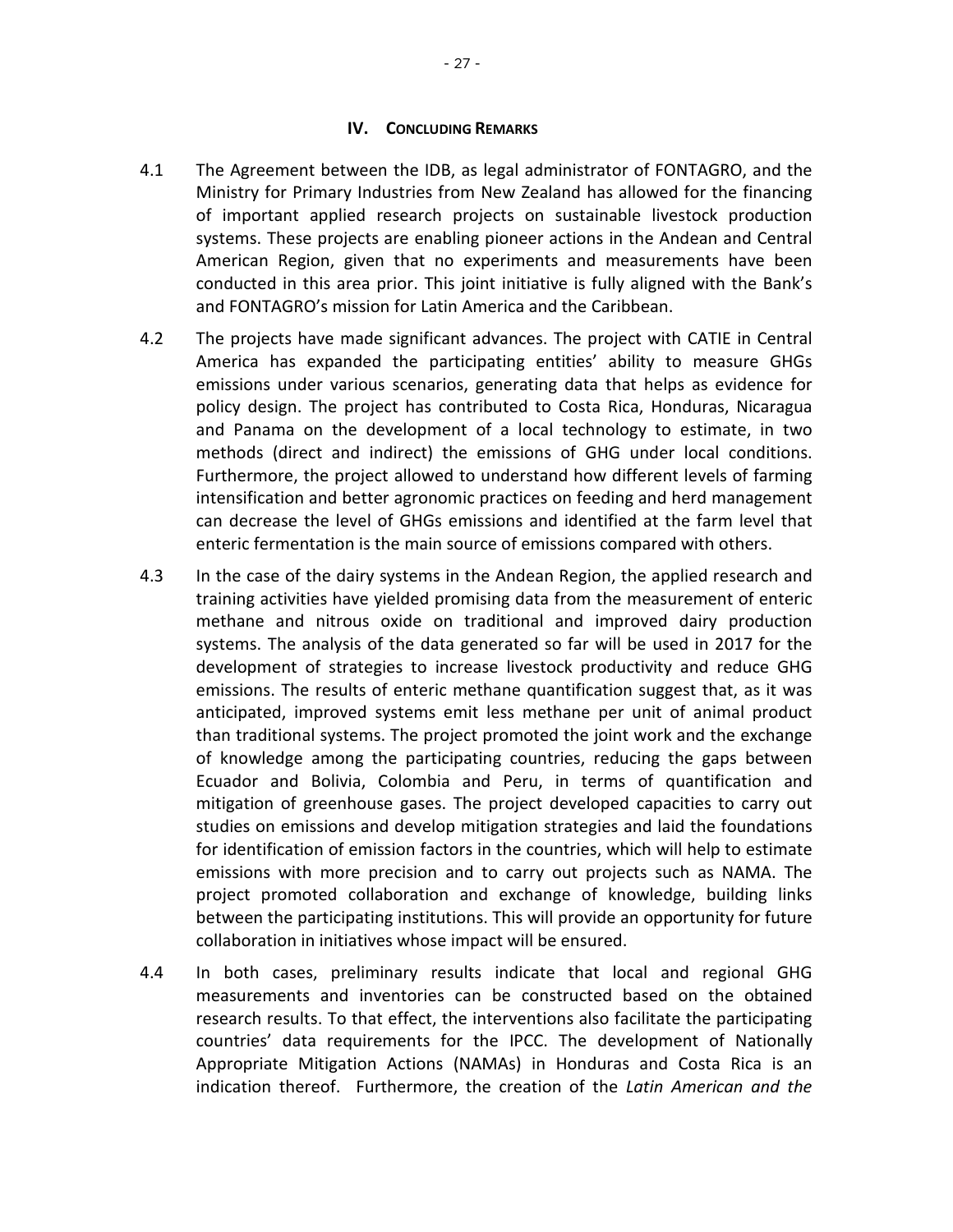#### **IV. CONCLUDING REMARKS**

- <span id="page-32-0"></span>4.1 The Agreement between the IDB, as legal administrator of FONTAGRO, and the Ministry for Primary Industries from New Zealand has allowed for the financing of important applied research projects on sustainable livestock production systems. These projects are enabling pioneer actions in the Andean and Central American Region, given that no experiments and measurements have been conducted in this area prior. This joint initiative is fully aligned with the Bank's and FONTAGRO's mission for Latin America and the Caribbean.
- 4.2 The projects have made significant advances. The project with CATIE in Central America has expanded the participating entities' ability to measure GHGs emissions under various scenarios, generating data that helps as evidence for policy design. The project has contributed to Costa Rica, Honduras, Nicaragua and Panama on the development of a local technology to estimate, in two methods (direct and indirect) the emissions of GHG under local conditions. Furthermore, the project allowed to understand how different levels of farming intensification and better agronomic practices on feeding and herd management can decrease the level of GHGs emissions and identified at the farm level that enteric fermentation is the main source of emissions compared with others.
- 4.3 In the case of the dairy systems in the Andean Region, the applied research and training activities have yielded promising data from the measurement of enteric methane and nitrous oxide on traditional and improved dairy production systems. The analysis of the data generated so far will be used in 2017 for the development of strategies to increase livestock productivity and reduce GHG emissions. The results of enteric methane quantification suggest that, as it was anticipated, improved systems emit less methane per unit of animal product than traditional systems. The project promoted the joint work and the exchange of knowledge among the participating countries, reducing the gaps between Ecuador and Bolivia, Colombia and Peru, in terms of quantification and mitigation of greenhouse gases. The project developed capacities to carry out studies on emissions and develop mitigation strategies and laid the foundations for identification of emission factors in the countries, which will help to estimate emissions with more precision and to carry out projects such as NAMA. The project promoted collaboration and exchange of knowledge, building links between the participating institutions. This will provide an opportunity for future collaboration in initiatives whose impact will be ensured.
- 4.4 In both cases, preliminary results indicate that local and regional GHG measurements and inventories can be constructed based on the obtained research results. To that effect, the interventions also facilitate the participating countries' data requirements for the IPCC. The development of Nationally Appropriate Mitigation Actions (NAMAs) in Honduras and Costa Rica is an indication thereof. Furthermore, the creation of the *Latin American and the*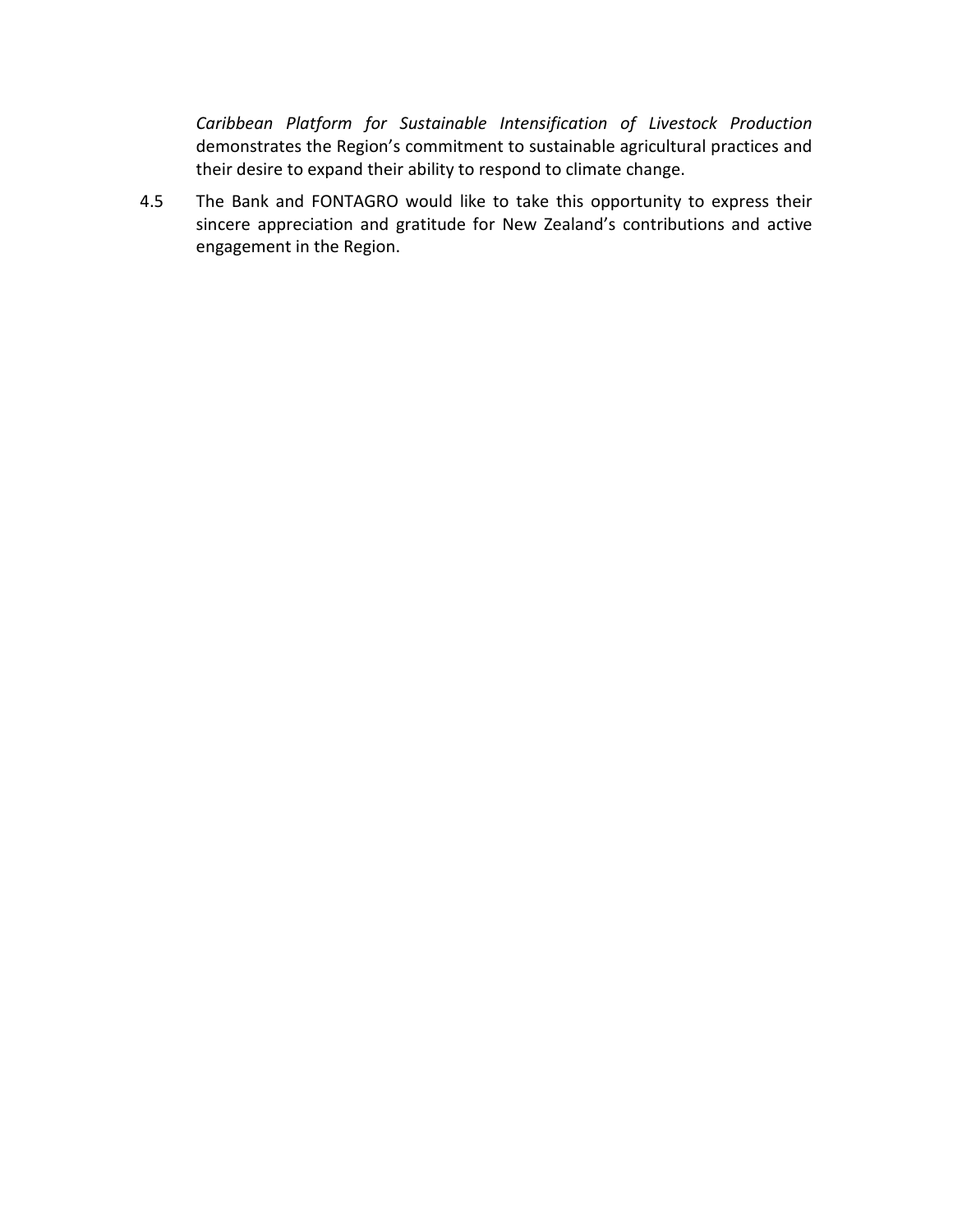*Caribbean Platform for Sustainable Intensification of Livestock Production* demonstrates the Region's commitment to sustainable agricultural practices and their desire to expand their ability to respond to climate change.

4.5 The Bank and FONTAGRO would like to take this opportunity to express their sincere appreciation and gratitude for New Zealand's contributions and active engagement in the Region.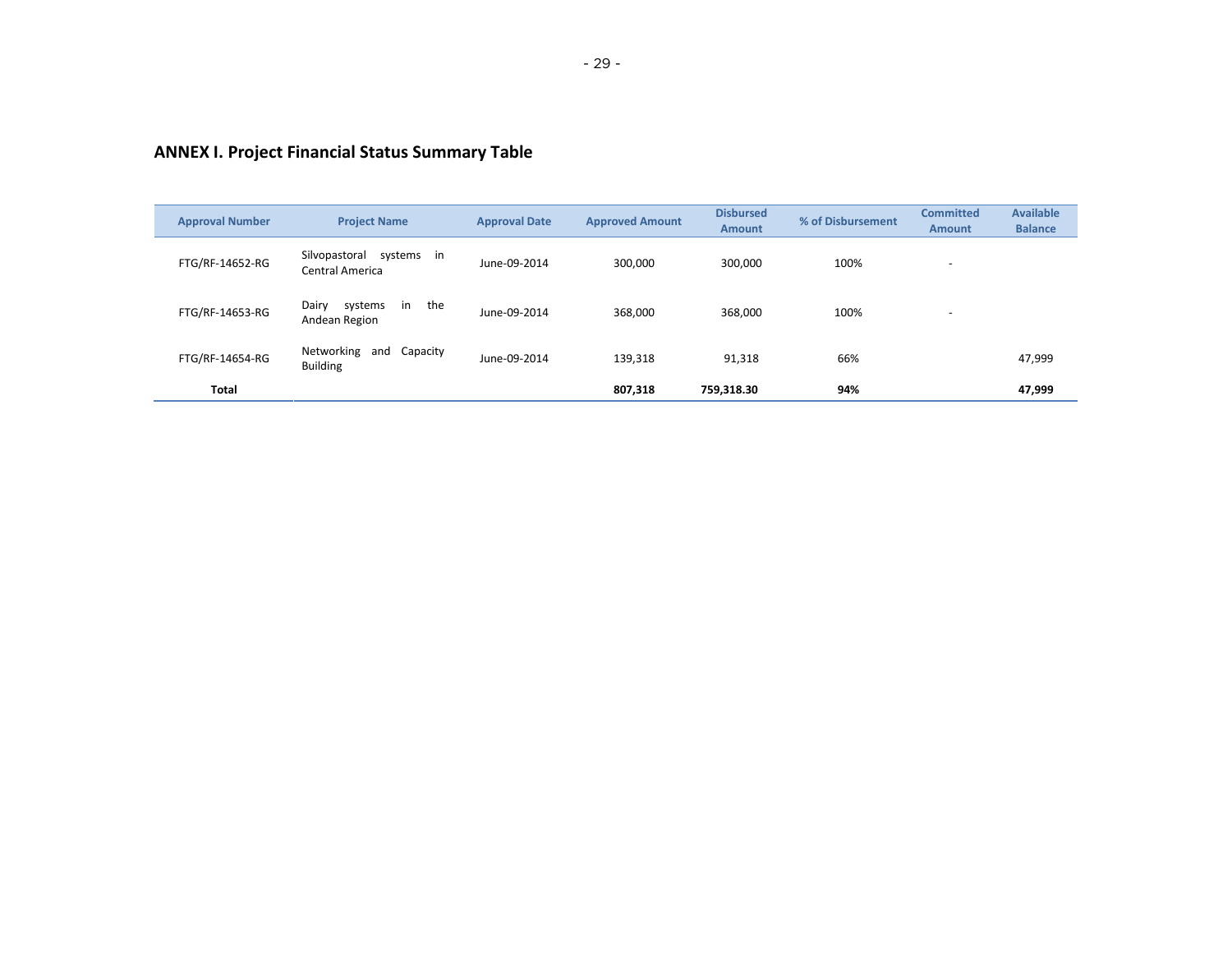# **ANNEX I. Project Financial Status Summary Table**

<span id="page-34-0"></span>

| <b>Approval Number</b> | <b>Project Name</b>                              | <b>Approval Date</b> | <b>Approved Amount</b> | <b>Disbursed</b><br><b>Amount</b> | % of Disbursement | <b>Committed</b><br>Amount | <b>Available</b><br><b>Balance</b> |
|------------------------|--------------------------------------------------|----------------------|------------------------|-----------------------------------|-------------------|----------------------------|------------------------------------|
| FTG/RF-14652-RG        | Silvopastoral<br>systems in<br>Central America   | June-09-2014         | 300,000                | 300.000                           | 100%              | $\overline{\phantom{a}}$   |                                    |
| FTG/RF-14653-RG        | the<br>Dairy<br>in<br>systems<br>Andean Region   | June-09-2014         | 368,000                | 368,000                           | 100%              | $\overline{\phantom{a}}$   |                                    |
| FTG/RF-14654-RG        | Networking<br>Capacity<br>and<br><b>Building</b> | June-09-2014         | 139,318                | 91.318                            | 66%               |                            | 47,999                             |
| <b>Total</b>           |                                                  |                      | 807,318                | 759.318.30                        | 94%               |                            | 47,999                             |